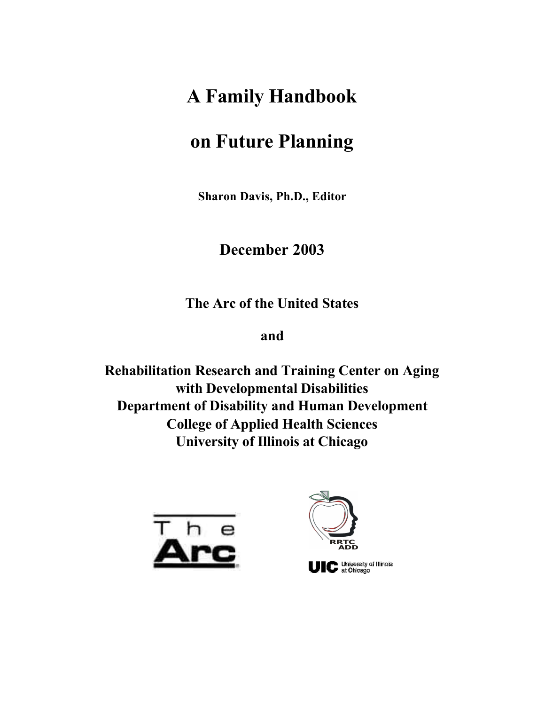# **A Family Handbook**

# **on Future Planning**

**Sharon Davis, Ph.D., Editor**

# **December 2003**

**The Arc of the United States**

# **and**

**Rehabilitation Research and Training Center on Aging with Developmental Disabilities Department of Disability and Human Development College of Applied Health Sciences University of Illinois at Chicago**



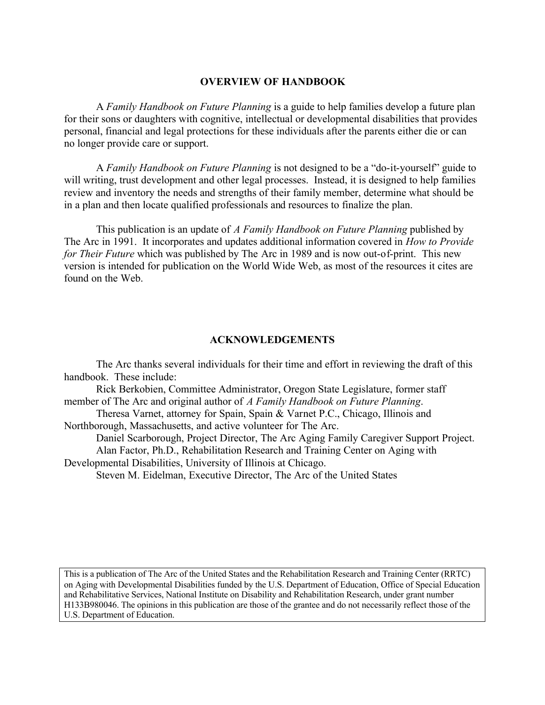#### **OVERVIEW OF HANDBOOK**

A *Family Handbook on Future Planning* is a guide to help families develop a future plan for their sons or daughters with cognitive, intellectual or developmental disabilities that provides personal, financial and legal protections for these individuals after the parents either die or can no longer provide care or support.

A *Family Handbook on Future Planning* is not designed to be a "do-it-yourself" guide to will writing, trust development and other legal processes. Instead, it is designed to help families review and inventory the needs and strengths of their family member, determine what should be in a plan and then locate qualified professionals and resources to finalize the plan.

This publication is an update of *A Family Handbook on Future Planning* published by The Arc in 1991. It incorporates and updates additional information covered in *How to Provide for Their Future* which was published by The Arc in 1989 and is now out-of-print. This new version is intended for publication on the World Wide Web, as most of the resources it cites are found on the Web.

#### **ACKNOWLEDGEMENTS**

The Arc thanks several individuals for their time and effort in reviewing the draft of this handbook. These include:

Rick Berkobien, Committee Administrator, Oregon State Legislature, former staff member of The Arc and original author of *A Family Handbook on Future Planning*.

Theresa Varnet, attorney for Spain, Spain & Varnet P.C., Chicago, Illinois and Northborough, Massachusetts, and active volunteer for The Arc.

Daniel Scarborough, Project Director, The Arc Aging Family Caregiver Support Project. Alan Factor, Ph.D., Rehabilitation Research and Training Center on Aging with Developmental Disabilities, University of Illinois at Chicago.

Steven M. Eidelman, Executive Director, The Arc of the United States

This is a publication of The Arc of the United States and the Rehabilitation Research and Training Center (RRTC) on Aging with Developmental Disabilities funded by the U.S. Department of Education, Office of Special Education and Rehabilitative Services, National Institute on Disability and Rehabilitation Research, under grant number H133B980046. The opinions in this publication are those of the grantee and do not necessarily reflect those of the U.S. Department of Education.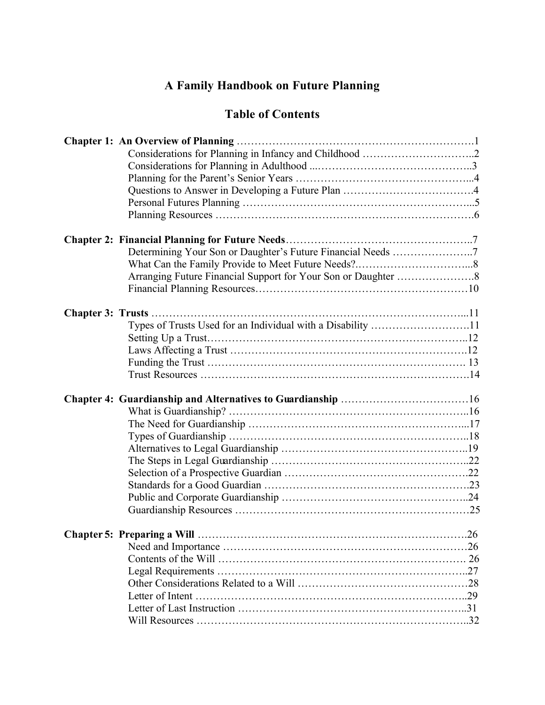# **A Family Handbook on Future Planning**

# **Table of Contents**

|  | Determining Your Son or Daughter's Future Financial Needs 7 |  |
|--|-------------------------------------------------------------|--|
|  |                                                             |  |
|  |                                                             |  |
|  |                                                             |  |
|  |                                                             |  |
|  |                                                             |  |
|  | Types of Trusts Used for an Individual with a Disability 11 |  |
|  |                                                             |  |
|  |                                                             |  |
|  |                                                             |  |
|  |                                                             |  |
|  |                                                             |  |
|  |                                                             |  |
|  |                                                             |  |
|  |                                                             |  |
|  |                                                             |  |
|  |                                                             |  |
|  |                                                             |  |
|  |                                                             |  |
|  |                                                             |  |
|  |                                                             |  |
|  |                                                             |  |
|  |                                                             |  |
|  |                                                             |  |
|  |                                                             |  |
|  |                                                             |  |
|  |                                                             |  |
|  |                                                             |  |
|  |                                                             |  |
|  |                                                             |  |
|  |                                                             |  |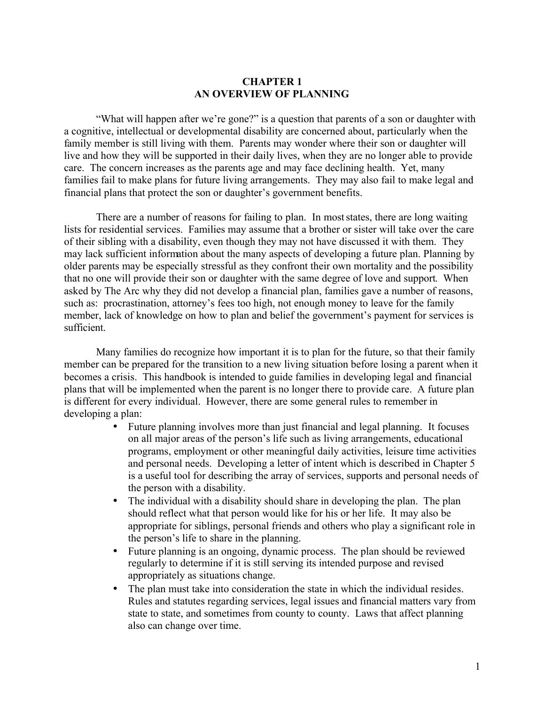#### **CHAPTER 1 AN OVERVIEW OF PLANNING**

"What will happen after we're gone?" is a question that parents of a son or daughter with a cognitive, intellectual or developmental disability are concerned about, particularly when the family member is still living with them. Parents may wonder where their son or daughter will live and how they will be supported in their daily lives, when they are no longer able to provide care. The concern increases as the parents age and may face declining health. Yet, many families fail to make plans for future living arrangements. They may also fail to make legal and financial plans that protect the son or daughter's government benefits.

There are a number of reasons for failing to plan. In most states, there are long waiting lists for residential services. Families may assume that a brother or sister will take over the care of their sibling with a disability, even though they may not have discussed it with them. They may lack sufficient information about the many aspects of developing a future plan. Planning by older parents may be especially stressful as they confront their own mortality and the possibility that no one will provide their son or daughter with the same degree of love and support. When asked by The Arc why they did not develop a financial plan, families gave a number of reasons, such as: procrastination, attorney's fees too high, not enough money to leave for the family member, lack of knowledge on how to plan and belief the government's payment for services is sufficient.

Many families do recognize how important it is to plan for the future, so that their family member can be prepared for the transition to a new living situation before losing a parent when it becomes a crisis. This handbook is intended to guide families in developing legal and financial plans that will be implemented when the parent is no longer there to provide care. A future plan is different for every individual. However, there are some general rules to remember in developing a plan:

- Future planning involves more than just financial and legal planning. It focuses on all major areas of the person's life such as living arrangements, educational programs, employment or other meaningful daily activities, leisure time activities and personal needs. Developing a letter of intent which is described in Chapter 5 is a useful tool for describing the array of services, supports and personal needs of the person with a disability.
- The individual with a disability should share in developing the plan. The plan should reflect what that person would like for his or her life. It may also be appropriate for siblings, personal friends and others who play a significant role in the person's life to share in the planning.
- Future planning is an ongoing, dynamic process. The plan should be reviewed regularly to determine if it is still serving its intended purpose and revised appropriately as situations change.
- The plan must take into consideration the state in which the individual resides. Rules and statutes regarding services, legal issues and financial matters vary from state to state, and sometimes from county to county. Laws that affect planning also can change over time.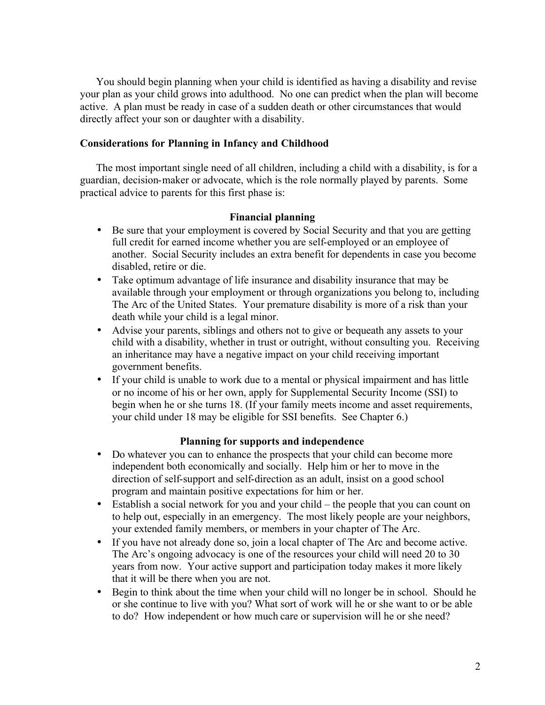You should begin planning when your child is identified as having a disability and revise your plan as your child grows into adulthood. No one can predict when the plan will become active. A plan must be ready in case of a sudden death or other circumstances that would directly affect your son or daughter with a disability.

# **Considerations for Planning in Infancy and Childhood**

The most important single need of all children, including a child with a disability, is for a guardian, decision-maker or advocate, which is the role normally played by parents. Some practical advice to parents for this first phase is:

# **Financial planning**

- Be sure that your employment is covered by Social Security and that you are getting full credit for earned income whether you are self-employed or an employee of another. Social Security includes an extra benefit for dependents in case you become disabled, retire or die.
- Take optimum advantage of life insurance and disability insurance that may be available through your employment or through organizations you belong to, including The Arc of the United States. Your premature disability is more of a risk than your death while your child is a legal minor.
- Advise your parents, siblings and others not to give or bequeath any assets to your child with a disability, whether in trust or outright, without consulting you. Receiving an inheritance may have a negative impact on your child receiving important government benefits.
- If your child is unable to work due to a mental or physical impairment and has little or no income of his or her own, apply for Supplemental Security Income (SSI) to begin when he or she turns 18. (If your family meets income and asset requirements, your child under 18 may be eligible for SSI benefits. See Chapter 6.)

# **Planning for supports and independence**

- Do whatever you can to enhance the prospects that your child can become more independent both economically and socially. Help him or her to move in the direction of self-support and self-direction as an adult, insist on a good school program and maintain positive expectations for him or her.
- Establish a social network for you and your child the people that you can count on to help out, especially in an emergency. The most likely people are your neighbors, your extended family members, or members in your chapter of The Arc.
- If you have not already done so, join a local chapter of The Arc and become active. The Arc's ongoing advocacy is one of the resources your child will need 20 to 30 years from now. Your active support and participation today makes it more likely that it will be there when you are not.
- Begin to think about the time when your child will no longer be in school. Should he or she continue to live with you? What sort of work will he or she want to or be able to do? How independent or how much care or supervision will he or she need?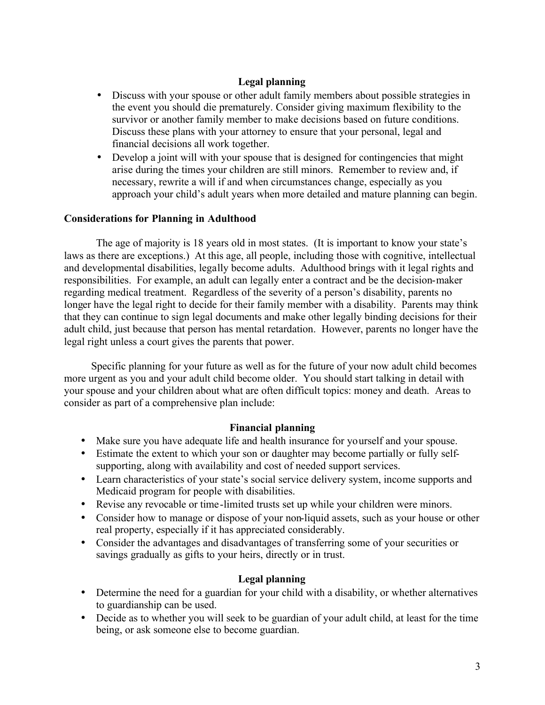# **Legal planning**

- Discuss with your spouse or other adult family members about possible strategies in the event you should die prematurely. Consider giving maximum flexibility to the survivor or another family member to make decisions based on future conditions. Discuss these plans with your attorney to ensure that your personal, legal and financial decisions all work together.
- Develop a joint will with your spouse that is designed for contingencies that might arise during the times your children are still minors. Remember to review and, if necessary, rewrite a will if and when circumstances change, especially as you approach your child's adult years when more detailed and mature planning can begin.

# **Considerations for Planning in Adulthood**

The age of majority is 18 years old in most states. (It is important to know your state's laws as there are exceptions.) At this age, all people, including those with cognitive, intellectual and developmental disabilities, legally become adults. Adulthood brings with it legal rights and responsibilities. For example, an adult can legally enter a contract and be the decision-maker regarding medical treatment. Regardless of the severity of a person's disability, parents no longer have the legal right to decide for their family member with a disability. Parents may think that they can continue to sign legal documents and make other legally binding decisions for their adult child, just because that person has mental retardation. However, parents no longer have the legal right unless a court gives the parents that power.

 Specific planning for your future as well as for the future of your now adult child becomes more urgent as you and your adult child become older. You should start talking in detail with your spouse and your children about what are often difficult topics: money and death. Areas to consider as part of a comprehensive plan include:

# **Financial planning**

- Make sure you have adequate life and health insurance for yourself and your spouse.
- Estimate the extent to which your son or daughter may become partially or fully selfsupporting, along with availability and cost of needed support services.
- Learn characteristics of your state's social service delivery system, income supports and Medicaid program for people with disabilities.
- Revise any revocable or time-limited trusts set up while your children were minors.
- Consider how to manage or dispose of your non-liquid assets, such as your house or other real property, especially if it has appreciated considerably.
- Consider the advantages and disadvantages of transferring some of your securities or savings gradually as gifts to your heirs, directly or in trust.

# **Legal planning**

- Determine the need for a guardian for your child with a disability, or whether alternatives to guardianship can be used.
- Decide as to whether you will seek to be guardian of your adult child, at least for the time being, or ask someone else to become guardian.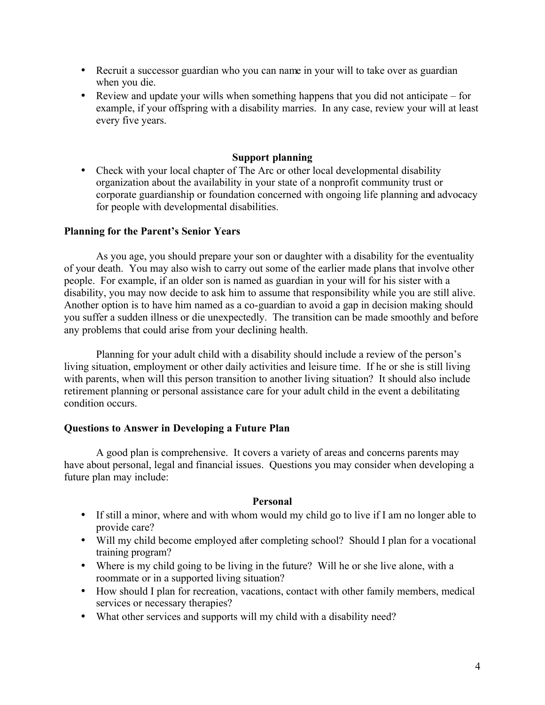- Recruit a successor guardian who you can name in your will to take over as guardian when you die.
- Review and update your wills when something happens that you did not anticipate for example, if your offspring with a disability marries. In any case, review your will at least every five years.

# **Support planning**

• Check with your local chapter of The Arc or other local developmental disability organization about the availability in your state of a nonprofit community trust or corporate guardianship or foundation concerned with ongoing life planning and advocacy for people with developmental disabilities.

#### **Planning for the Parent's Senior Years**

As you age, you should prepare your son or daughter with a disability for the eventuality of your death. You may also wish to carry out some of the earlier made plans that involve other people. For example, if an older son is named as guardian in your will for his sister with a disability, you may now decide to ask him to assume that responsibility while you are still alive. Another option is to have him named as a co-guardian to avoid a gap in decision making should you suffer a sudden illness or die unexpectedly. The transition can be made smoothly and before any problems that could arise from your declining health.

Planning for your adult child with a disability should include a review of the person's living situation, employment or other daily activities and leisure time. If he or she is still living with parents, when will this person transition to another living situation? It should also include retirement planning or personal assistance care for your adult child in the event a debilitating condition occurs.

#### **Questions to Answer in Developing a Future Plan**

A good plan is comprehensive. It covers a variety of areas and concerns parents may have about personal, legal and financial issues. Questions you may consider when developing a future plan may include:

#### **Personal**

- If still a minor, where and with whom would my child go to live if I am no longer able to provide care?
- Will my child become employed after completing school? Should I plan for a vocational training program?
- Where is my child going to be living in the future? Will he or she live alone, with a roommate or in a supported living situation?
- How should I plan for recreation, vacations, contact with other family members, medical services or necessary therapies?
- What other services and supports will my child with a disability need?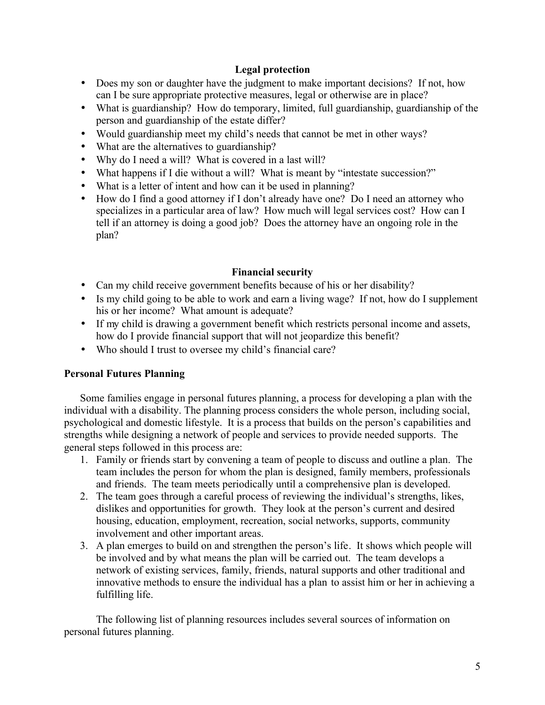# **Legal protection**

- Does my son or daughter have the judgment to make important decisions? If not, how can I be sure appropriate protective measures, legal or otherwise are in place?
- What is guardianship? How do temporary, limited, full guardianship, guardianship of the person and guardianship of the estate differ?
- Would guardianship meet my child's needs that cannot be met in other ways?
- What are the alternatives to guardianship?
- Why do I need a will? What is covered in a last will?
- What happens if I die without a will? What is meant by "intestate succession?"
- What is a letter of intent and how can it be used in planning?
- How do I find a good attorney if I don't already have one? Do I need an attorney who specializes in a particular area of law? How much will legal services cost? How can I tell if an attorney is doing a good job? Does the attorney have an ongoing role in the plan?

# **Financial security**

- Can my child receive government benefits because of his or her disability?
- Is my child going to be able to work and earn a living wage? If not, how do I supplement his or her income? What amount is adequate?
- If my child is drawing a government benefit which restricts personal income and assets, how do I provide financial support that will not jeopardize this benefit?
- Who should I trust to oversee my child's financial care?

# **Personal Futures Planning**

Some families engage in personal futures planning, a process for developing a plan with the individual with a disability. The planning process considers the whole person, including social, psychological and domestic lifestyle. It is a process that builds on the person's capabilities and strengths while designing a network of people and services to provide needed supports. The general steps followed in this process are:

- 1. Family or friends start by convening a team of people to discuss and outline a plan. The team includes the person for whom the plan is designed, family members, professionals and friends. The team meets periodically until a comprehensive plan is developed.
- 2. The team goes through a careful process of reviewing the individual's strengths, likes, dislikes and opportunities for growth. They look at the person's current and desired housing, education, employment, recreation, social networks, supports, community involvement and other important areas.
- 3. A plan emerges to build on and strengthen the person's life. It shows which people will be involved and by what means the plan will be carried out. The team develops a network of existing services, family, friends, natural supports and other traditional and innovative methods to ensure the individual has a plan to assist him or her in achieving a fulfilling life.

The following list of planning resources includes several sources of information on personal futures planning.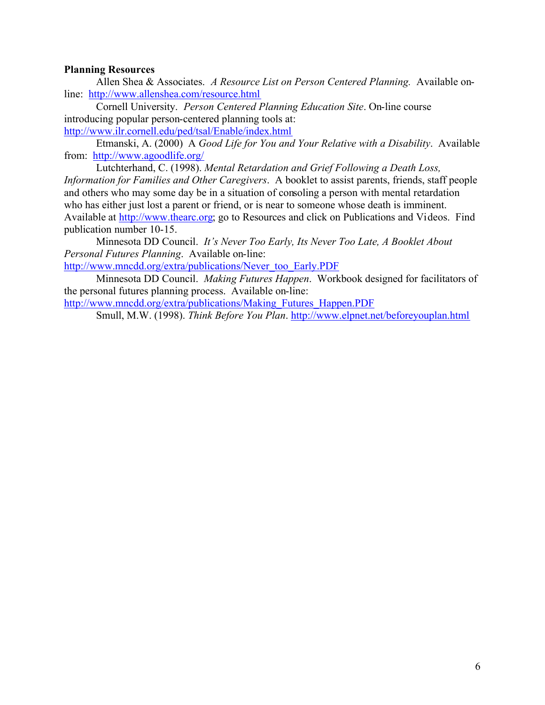# **Planning Resources**

Allen Shea & Associates. *A Resource List on Person Centered Planning.* Available online: <http://www.allenshea.com/resource.html>

Cornell University. *Person Centered Planning Education Site*. On-line course introducing popular person-centered planning tools at: <http://www.ilr.cornell.edu/ped/tsal/Enable/index.html>

Etmanski, A. (2000) A *Good Life for You and Your Relative with a Disability*. Available from: <http://www.agoodlife.org/>

Lutchterhand, C. (1998). *Mental Retardation and Grief Following a Death Loss, Information for Families and Other Caregivers*. A booklet to assist parents, friends, staff people and others who may some day be in a situation of consoling a person with mental retardation who has either just lost a parent or friend, or is near to someone whose death is imminent. Available at [http://www.thearc.org;](http://www.thearc.org) go to Resources and click on Publications and Videos. Find publication number 10-15.

Minnesota DD Council. *It's Never Too Early, Its Never Too Late, A Booklet About Personal Futures Planning*. Available on-line:

[http://www.mncdd.org/extra/publications/Never\\_too\\_Early.PDF](http://www.mncdd.org/extra/publications/Never_too_Early.PDF)

Minnesota DD Council. *Making Futures Happen*. Workbook designed for facilitators of the personal futures planning process. Available on-line:

[http://www.mncdd.org/extra/publications/Making\\_Futures\\_Happen.PDF](http://www.mncdd.org/extra/publications/Making_Futures_Happen.PDF)

Smull, M.W. (1998). *Think Before You Plan*. <http://www.elpnet.net/beforeyouplan.html>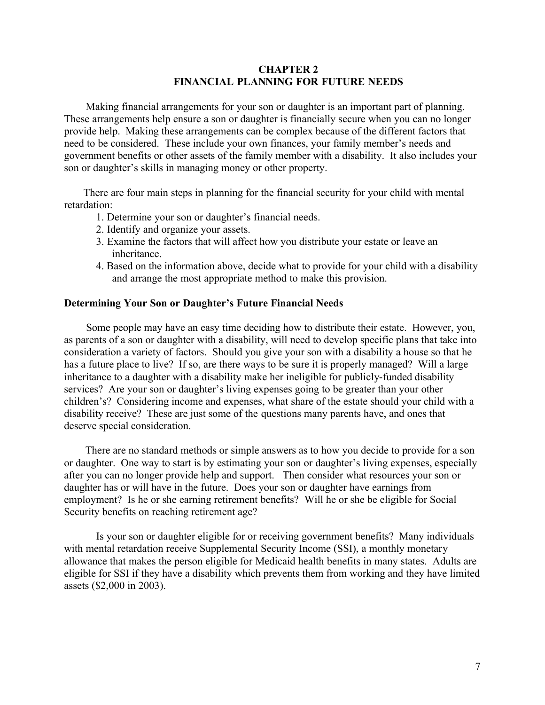#### **CHAPTER 2 FINANCIAL PLANNING FOR FUTURE NEEDS**

 Making financial arrangements for your son or daughter is an important part of planning. These arrangements help ensure a son or daughter is financially secure when you can no longer provide help. Making these arrangements can be complex because of the different factors that need to be considered. These include your own finances, your family member's needs and government benefits or other assets of the family member with a disability. It also includes your son or daughter's skills in managing money or other property.

 There are four main steps in planning for the financial security for your child with mental retardation:

- 1. Determine your son or daughter's financial needs.
- 2. Identify and organize your assets.
- 3. Examine the factors that will affect how you distribute your estate or leave an inheritance.
- 4. Based on the information above, decide what to provide for your child with a disability and arrange the most appropriate method to make this provision.

#### **Determining Your Son or Daughter's Future Financial Needs**

 Some people may have an easy time deciding how to distribute their estate. However, you, as parents of a son or daughter with a disability, will need to develop specific plans that take into consideration a variety of factors. Should you give your son with a disability a house so that he has a future place to live? If so, are there ways to be sure it is properly managed? Will a large inheritance to a daughter with a disability make her ineligible for publicly-funded disability services? Are your son or daughter's living expenses going to be greater than your other children's? Considering income and expenses, what share of the estate should your child with a disability receive? These are just some of the questions many parents have, and ones that deserve special consideration.

 There are no standard methods or simple answers as to how you decide to provide for a son or daughter. One way to start is by estimating your son or daughter's living expenses, especially after you can no longer provide help and support. Then consider what resources your son or daughter has or will have in the future. Does your son or daughter have earnings from employment? Is he or she earning retirement benefits? Will he or she be eligible for Social Security benefits on reaching retirement age?

Is your son or daughter eligible for or receiving government benefits? Many individuals with mental retardation receive Supplemental Security Income (SSI), a monthly monetary allowance that makes the person eligible for Medicaid health benefits in many states. Adults are eligible for SSI if they have a disability which prevents them from working and they have limited assets (\$2,000 in 2003).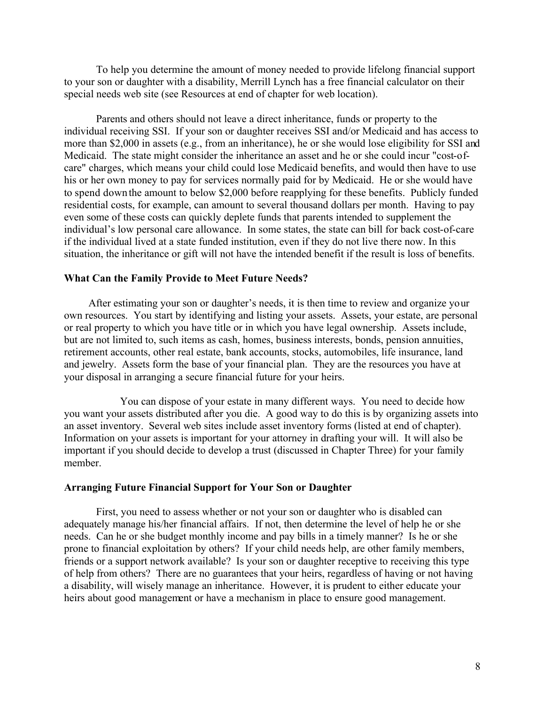To help you determine the amount of money needed to provide lifelong financial support to your son or daughter with a disability, Merrill Lynch has a free financial calculator on their special needs web site (see Resources at end of chapter for web location).

Parents and others should not leave a direct inheritance, funds or property to the individual receiving SSI. If your son or daughter receives SSI and/or Medicaid and has access to more than \$2,000 in assets (e.g., from an inheritance), he or she would lose eligibility for SSI and Medicaid. The state might consider the inheritance an asset and he or she could incur "cost-ofcare" charges, which means your child could lose Medicaid benefits, and would then have to use his or her own money to pay for services normally paid for by Medicaid. He or she would have to spend down the amount to below \$2,000 before reapplying for these benefits. Publicly funded residential costs, for example, can amount to several thousand dollars per month. Having to pay even some of these costs can quickly deplete funds that parents intended to supplement the individual's low personal care allowance. In some states, the state can bill for back cost-of-care if the individual lived at a state funded institution, even if they do not live there now. In this situation, the inheritance or gift will not have the intended benefit if the result is loss of benefits.

#### **What Can the Family Provide to Meet Future Needs?**

 After estimating your son or daughter's needs, it is then time to review and organize your own resources. You start by identifying and listing your assets. Assets, your estate, are personal or real property to which you have title or in which you have legal ownership. Assets include, but are not limited to, such items as cash, homes, business interests, bonds, pension annuities, retirement accounts, other real estate, bank accounts, stocks, automobiles, life insurance, land and jewelry. Assets form the base of your financial plan. They are the resources you have at your disposal in arranging a secure financial future for your heirs.

You can dispose of your estate in many different ways. You need to decide how you want your assets distributed after you die. A good way to do this is by organizing assets into an asset inventory. Several web sites include asset inventory forms (listed at end of chapter). Information on your assets is important for your attorney in drafting your will. It will also be important if you should decide to develop a trust (discussed in Chapter Three) for your family member.

#### **Arranging Future Financial Support for Your Son or Daughter**

First, you need to assess whether or not your son or daughter who is disabled can adequately manage his/her financial affairs. If not, then determine the level of help he or she needs. Can he or she budget monthly income and pay bills in a timely manner? Is he or she prone to financial exploitation by others? If your child needs help, are other family members, friends or a support network available? Is your son or daughter receptive to receiving this type of help from others? There are no guarantees that your heirs, regardless of having or not having a disability, will wisely manage an inheritance. However, it is prudent to either educate your heirs about good management or have a mechanism in place to ensure good management.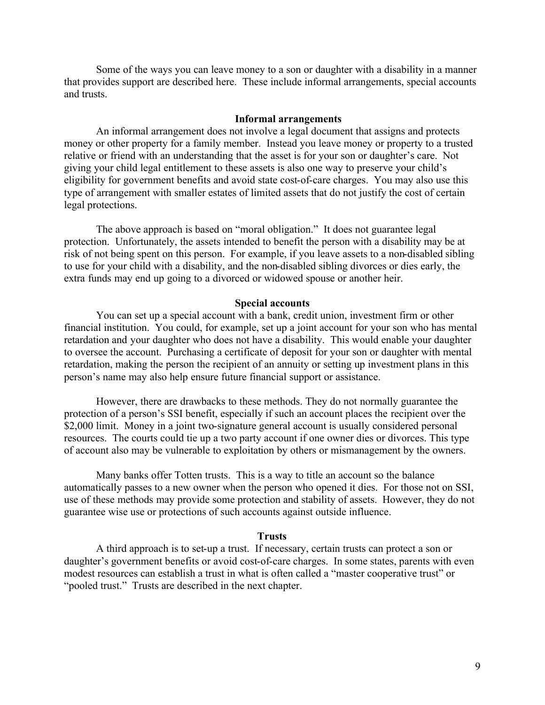Some of the ways you can leave money to a son or daughter with a disability in a manner that provides support are described here. These include informal arrangements, special accounts and trusts.

#### **Informal arrangements**

An informal arrangement does not involve a legal document that assigns and protects money or other property for a family member. Instead you leave money or property to a trusted relative or friend with an understanding that the asset is for your son or daughter's care. Not giving your child legal entitlement to these assets is also one way to preserve your child's eligibility for government benefits and avoid state cost-of-care charges. You may also use this type of arrangement with smaller estates of limited assets that do not justify the cost of certain legal protections.

The above approach is based on "moral obligation." It does not guarantee legal protection. Unfortunately, the assets intended to benefit the person with a disability may be at risk of not being spent on this person. For example, if you leave assets to a non-disabled sibling to use for your child with a disability, and the non-disabled sibling divorces or dies early, the extra funds may end up going to a divorced or widowed spouse or another heir.

#### **Special accounts**

You can set up a special account with a bank, credit union, investment firm or other financial institution. You could, for example, set up a joint account for your son who has mental retardation and your daughter who does not have a disability. This would enable your daughter to oversee the account. Purchasing a certificate of deposit for your son or daughter with mental retardation, making the person the recipient of an annuity or setting up investment plans in this person's name may also help ensure future financial support or assistance.

However, there are drawbacks to these methods. They do not normally guarantee the protection of a person's SSI benefit, especially if such an account places the recipient over the \$2,000 limit. Money in a joint two-signature general account is usually considered personal resources. The courts could tie up a two party account if one owner dies or divorces. This type of account also may be vulnerable to exploitation by others or mismanagement by the owners.

Many banks offer Totten trusts. This is a way to title an account so the balance automatically passes to a new owner when the person who opened it dies. For those not on SSI, use of these methods may provide some protection and stability of assets. However, they do not guarantee wise use or protections of such accounts against outside influence.

#### **Trusts**

A third approach is to set-up a trust. If necessary, certain trusts can protect a son or daughter's government benefits or avoid cost-of-care charges. In some states, parents with even modest resources can establish a trust in what is often called a "master cooperative trust" or "pooled trust." Trusts are described in the next chapter.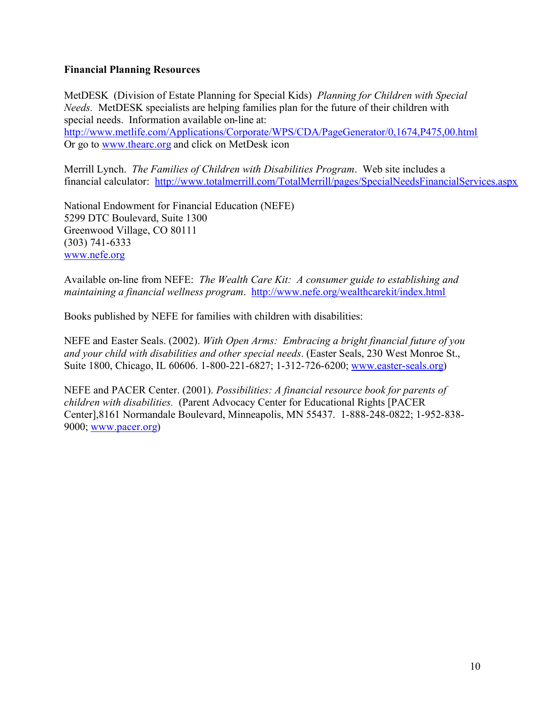# **Financial Planning Resources**

MetDESK (Division of Estate Planning for Special Kids) *Planning for Children with Special Needs.* MetDESK specialists are helping families plan for the future of their children with special needs. Information available on-line at: <http://www.metlife.com/Applications/Corporate/WPS/CDA/PageGenerator/0,1674,P475,00.html> Or go to www.thearc.org and click on MetDesk icon

Merrill Lynch. *The Families of Children with Disabilities Program*. Web site includes a financial calculator: <http://www.totalmerrill.com/TotalMerrill/pages/SpecialNeedsFinancialServices.aspx>

National Endowment for Financial Education (NEFE) 5299 DTC Boulevard, Suite 1300 Greenwood Village, CO 80111 (303) 741-6333 www.nefe.org

Available on-line from NEFE: *The Wealth Care Kit: A consumer guide to establishing and maintaining a financial wellness program*. <http://www.nefe.org/wealthcarekit/index.html>

Books published by NEFE for families with children with disabilities:

NEFE and Easter Seals. (2002). *With Open Arms: Embracing a bright financial future of you and your child with disabilities and other special needs*. (Easter Seals, 230 West Monroe St., Suite 1800, Chicago, IL 60606. 1-800-221-6827; 1-312-726-6200; www.easter-seals.org)

NEFE and PACER Center. (2001). *Possibilities: A financial resource book for parents of children with disabilities.* (Parent Advocacy Center for Educational Rights [PACER Center],8161 Normandale Boulevard, Minneapolis, MN 55437. 1-888-248-0822; 1-952-838- 9000; www.pacer.org)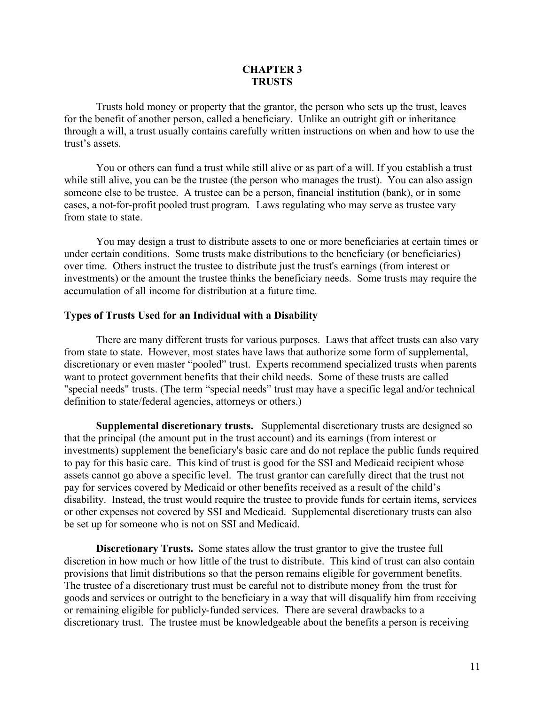#### **CHAPTER 3 TRUSTS**

Trusts hold money or property that the grantor, the person who sets up the trust, leaves for the benefit of another person, called a beneficiary. Unlike an outright gift or inheritance through a will, a trust usually contains carefully written instructions on when and how to use the trust's assets.

You or others can fund a trust while still alive or as part of a will. If you establish a trust while still alive, you can be the trustee (the person who manages the trust). You can also assign someone else to be trustee. A trustee can be a person, financial institution (bank), or in some cases, a not-for-profit pooled trust program. Laws regulating who may serve as trustee vary from state to state.

You may design a trust to distribute assets to one or more beneficiaries at certain times or under certain conditions. Some trusts make distributions to the beneficiary (or beneficiaries) over time. Others instruct the trustee to distribute just the trust's earnings (from interest or investments) or the amount the trustee thinks the beneficiary needs. Some trusts may require the accumulation of all income for distribution at a future time.

#### **Types of Trusts Used for an Individual with a Disability**

There are many different trusts for various purposes. Laws that affect trusts can also vary from state to state. However, most states have laws that authorize some form of supplemental, discretionary or even master "pooled" trust. Experts recommend specialized trusts when parents want to protect government benefits that their child needs. Some of these trusts are called "special needs" trusts. (The term "special needs" trust may have a specific legal and/or technical definition to state/federal agencies, attorneys or others.)

**Supplemental discretionary trusts.** Supplemental discretionary trusts are designed so that the principal (the amount put in the trust account) and its earnings (from interest or investments) supplement the beneficiary's basic care and do not replace the public funds required to pay for this basic care. This kind of trust is good for the SSI and Medicaid recipient whose assets cannot go above a specific level. The trust grantor can carefully direct that the trust not pay for services covered by Medicaid or other benefits received as a result of the child's disability. Instead, the trust would require the trustee to provide funds for certain items, services or other expenses not covered by SSI and Medicaid. Supplemental discretionary trusts can also be set up for someone who is not on SSI and Medicaid.

**Discretionary Trusts.** Some states allow the trust grantor to give the trustee full discretion in how much or how little of the trust to distribute. This kind of trust can also contain provisions that limit distributions so that the person remains eligible for government benefits. The trustee of a discretionary trust must be careful not to distribute money from the trust for goods and services or outright to the beneficiary in a way that will disqualify him from receiving or remaining eligible for publicly-funded services. There are several drawbacks to a discretionary trust. The trustee must be knowledgeable about the benefits a person is receiving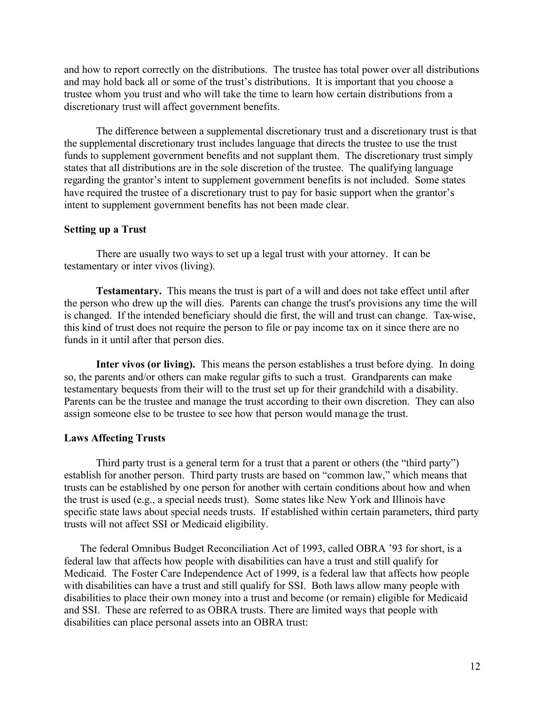and how to report correctly on the distributions. The trustee has total power over all distributions and may hold back all or some of the trust's distributions. It is important that you choose a trustee whom you trust and who will take the time to learn how certain distributions from a discretionary trust will affect government benefits.

The difference between a supplemental discretionary trust and a discretionary trust is that the supplemental discretionary trust includes language that directs the trustee to use the trust funds to supplement government benefits and not supplant them. The discretionary trust simply states that all distributions are in the sole discretion of the trustee. The qualifying language regarding the grantor's intent to supplement government benefits is not included. Some states have required the trustee of a discretionary trust to pay for basic support when the grantor's intent to supplement government benefits has not been made clear.

# **Setting up a Trust**

There are usually two ways to set up a legal trust with your attorney. It can be testamentary or inter vivos (living).

**Testamentary.** This means the trust is part of a will and does not take effect until after the person who drew up the will dies. Parents can change the trust's provisions any time the will is changed. If the intended beneficiary should die first, the will and trust can change. Tax-wise, this kind of trust does not require the person to file or pay income tax on it since there are no funds in it until after that person dies.

**Inter vivos (or living).** This means the person establishes a trust before dying. In doing so, the parents and/or others can make regular gifts to such a trust. Grandparents can make testamentary bequests from their will to the trust set up for their grandchild with a disability. Parents can be the trustee and manage the trust according to their own discretion. They can also assign someone else to be trustee to see how that person would manage the trust.

# **Laws Affecting Trusts**

Third party trust is a general term for a trust that a parent or others (the "third party") establish for another person. Third party trusts are based on "common law," which means that trusts can be established by one person for another with certain conditions about how and when the trust is used (e.g., a special needs trust). Some states like New York and Illinois have specific state laws about special needs trusts. If established within certain parameters, third party trusts will not affect SSI or Medicaid eligibility.

The federal Omnibus Budget Reconciliation Act of 1993, called OBRA '93 for short, is a federal law that affects how people with disabilities can have a trust and still qualify for Medicaid. The Foster Care Independence Act of 1999, is a federal law that affects how people with disabilities can have a trust and still qualify for SSI. Both laws allow many people with disabilities to place their own money into a trust and become (or remain) eligible for Medicaid and SSI. These are referred to as OBRA trusts. There are limited ways that people with disabilities can place personal assets into an OBRA trust: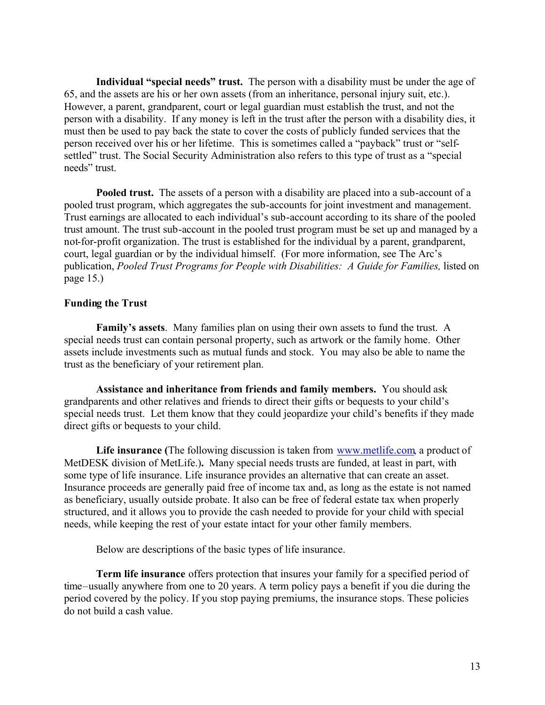**Individual "special needs" trust.** The person with a disability must be under the age of 65, and the assets are his or her own assets (from an inheritance, personal injury suit, etc.). However, a parent, grandparent, court or legal guardian must establish the trust, and not the person with a disability. If any money is left in the trust after the person with a disability dies, it must then be used to pay back the state to cover the costs of publicly funded services that the person received over his or her lifetime. This is sometimes called a "payback" trust or "selfsettled" trust. The Social Security Administration also refers to this type of trust as a "special needs" trust.

**Pooled trust.** The assets of a person with a disability are placed into a sub-account of a pooled trust program, which aggregates the sub-accounts for joint investment and management. Trust earnings are allocated to each individual's sub-account according to its share of the pooled trust amount. The trust sub-account in the pooled trust program must be set up and managed by a not-for-profit organization. The trust is established for the individual by a parent, grandparent, court, legal guardian or by the individual himself. (For more information, see The Arc's publication, *Pooled Trust Programs for People with Disabilities: A Guide for Families,* listed on page 15.)

# **Funding the Trust**

**Family's assets**. Many families plan on using their own assets to fund the trust. A special needs trust can contain personal property, such as artwork or the family home. Other assets include investments such as mutual funds and stock. You may also be able to name the trust as the beneficiary of your retirement plan.

**Assistance and inheritance from friends and family members.** You should ask grandparents and other relatives and friends to direct their gifts or bequests to your child's special needs trust. Let them know that they could jeopardize your child's benefits if they made direct gifts or bequests to your child.

Life insurance (The following discussion is taken from www.metlife.com, a product of MetDESK division of MetLife.)**.** Many special needs trusts are funded, at least in part, with some type of life insurance. Life insurance provides an alternative that can create an asset. Insurance proceeds are generally paid free of income tax and, as long as the estate is not named as beneficiary, usually outside probate. It also can be free of federal estate tax when properly structured, and it allows you to provide the cash needed to provide for your child with special needs, while keeping the rest of your estate intact for your other family members.

Below are descriptions of the basic types of life insurance.

**Term life insurance** offers protection that insures your family for a specified period of time–usually anywhere from one to 20 years. A term policy pays a benefit if you die during the period covered by the policy. If you stop paying premiums, the insurance stops. These policies do not build a cash value.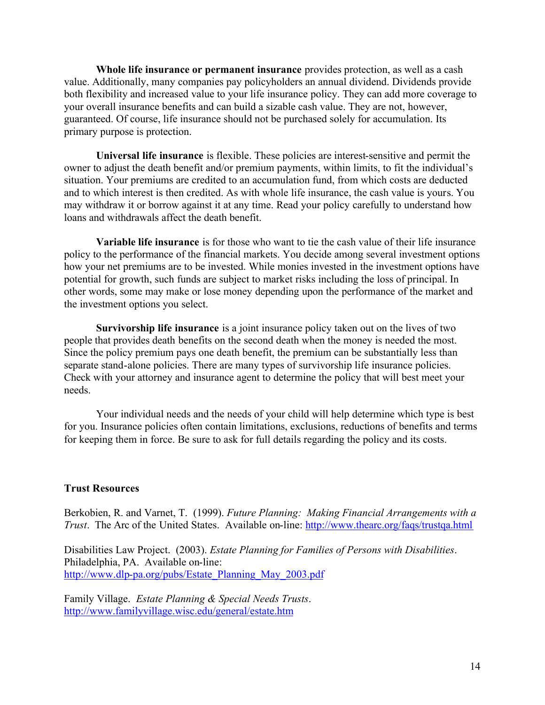**Whole life insurance or permanent insurance** provides protection, as well as a cash value. Additionally, many companies pay policyholders an annual dividend. Dividends provide both flexibility and increased value to your life insurance policy. They can add more coverage to your overall insurance benefits and can build a sizable cash value. They are not, however, guaranteed. Of course, life insurance should not be purchased solely for accumulation. Its primary purpose is protection.

**Universal life insurance** is flexible. These policies are interest-sensitive and permit the owner to adjust the death benefit and/or premium payments, within limits, to fit the individual's situation. Your premiums are credited to an accumulation fund, from which costs are deducted and to which interest is then credited. As with whole life insurance, the cash value is yours. You may withdraw it or borrow against it at any time. Read your policy carefully to understand how loans and withdrawals affect the death benefit.

**Variable life insurance** is for those who want to tie the cash value of their life insurance policy to the performance of the financial markets. You decide among several investment options how your net premiums are to be invested. While monies invested in the investment options have potential for growth, such funds are subject to market risks including the loss of principal. In other words, some may make or lose money depending upon the performance of the market and the investment options you select.

**Survivorship life insurance** is a joint insurance policy taken out on the lives of two people that provides death benefits on the second death when the money is needed the most. Since the policy premium pays one death benefit, the premium can be substantially less than separate stand-alone policies. There are many types of survivorship life insurance policies. Check with your attorney and insurance agent to determine the policy that will best meet your needs.

Your individual needs and the needs of your child will help determine which type is best for you. Insurance policies often contain limitations, exclusions, reductions of benefits and terms for keeping them in force. Be sure to ask for full details regarding the policy and its costs.

# **Trust Resources**

Berkobien, R. and Varnet, T. (1999). *Future Planning: Making Financial Arrangements with a Trust*. The Arc of the United States. Available on-line:<http://www.thearc.org/faqs/trustqa.html>

Disabilities Law Project. (2003). *Estate Planning for Families of Persons with Disabilities*. Philadelphia, PA. Available on-line: [http://www.dlp-pa.org/pubs/Estate\\_Planning\\_May\\_2003.pdf](http://www.dlp-pa.org/pubs/Estate_Planning_May_2003.pdf)

Family Village. *Estate Planning & Special Needs Trusts*. <http://www.familyvillage.wisc.edu/general/estate.htm>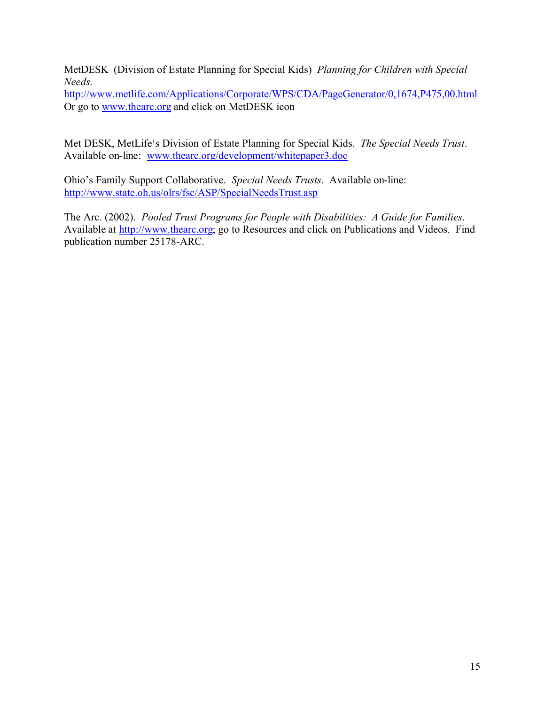MetDESK (Division of Estate Planning for Special Kids) *Planning for Children with Special Needs.*

<http://www.metlife.com/Applications/Corporate/WPS/CDA/PageGenerator/0,1674,P475,00.html> Or go to www.thearc.org and click on MetDESK icon

Met DESK, MetLife<sup>1</sup>s Division of Estate Planning for Special Kids. *The Special Needs Trust*. Available on-line: www.thearc.org/development/whitepaper3.doc

Ohio's Family Support Collaborative. *Special Needs Trusts*. Available on-line: <http://www.state.oh.us/olrs/fsc/ASP/SpecialNeedsTrust.asp>

The Arc. (2002). *Pooled Trust Programs for People with Disabilities: A Guide for Families*. Available at [http://www.thearc.org;](http://www.thearc.org) go to Resources and click on Publications and Videos. Find publication number 25178-ARC.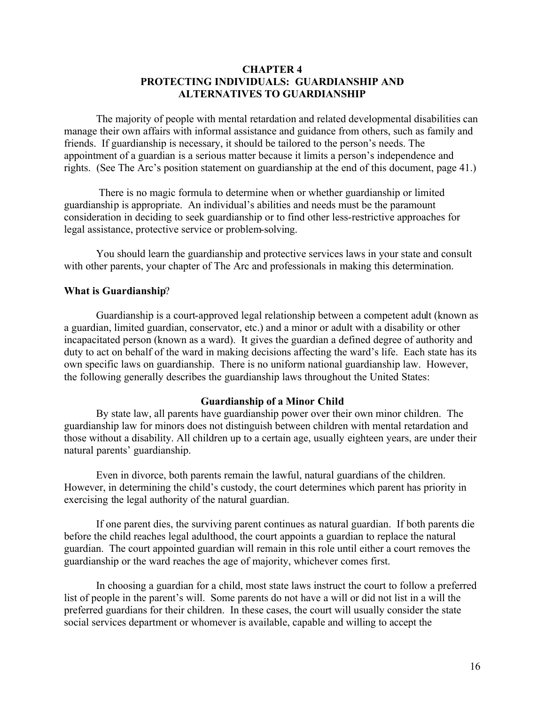### **CHAPTER 4 PROTECTING INDIVIDUALS: GUARDIANSHIP AND ALTERNATIVES TO GUARDIANSHIP**

The majority of people with mental retardation and related developmental disabilities can manage their own affairs with informal assistance and guidance from others, such as family and friends. If guardianship is necessary, it should be tailored to the person's needs. The appointment of a guardian is a serious matter because it limits a person's independence and rights. (See The Arc's position statement on guardianship at the end of this document, page 41.)

 There is no magic formula to determine when or whether guardianship or limited guardianship is appropriate. An individual's abilities and needs must be the paramount consideration in deciding to seek guardianship or to find other less-restrictive approaches for legal assistance, protective service or problem-solving.

You should learn the guardianship and protective services laws in your state and consult with other parents, your chapter of The Arc and professionals in making this determination.

# **What is Guardianship**?

Guardianship is a court-approved legal relationship between a competent adult (known as a guardian, limited guardian, conservator, etc.) and a minor or adult with a disability or other incapacitated person (known as a ward). It gives the guardian a defined degree of authority and duty to act on behalf of the ward in making decisions affecting the ward's life. Each state has its own specific laws on guardianship. There is no uniform national guardianship law. However, the following generally describes the guardianship laws throughout the United States:

# **Guardianship of a Minor Child**

By state law, all parents have guardianship power over their own minor children. The guardianship law for minors does not distinguish between children with mental retardation and those without a disability. All children up to a certain age, usually eighteen years, are under their natural parents' guardianship.

Even in divorce, both parents remain the lawful, natural guardians of the children. However, in determining the child's custody, the court determines which parent has priority in exercising the legal authority of the natural guardian.

If one parent dies, the surviving parent continues as natural guardian. If both parents die before the child reaches legal adulthood, the court appoints a guardian to replace the natural guardian. The court appointed guardian will remain in this role until either a court removes the guardianship or the ward reaches the age of majority, whichever comes first.

In choosing a guardian for a child, most state laws instruct the court to follow a preferred list of people in the parent's will. Some parents do not have a will or did not list in a will the preferred guardians for their children. In these cases, the court will usually consider the state social services department or whomever is available, capable and willing to accept the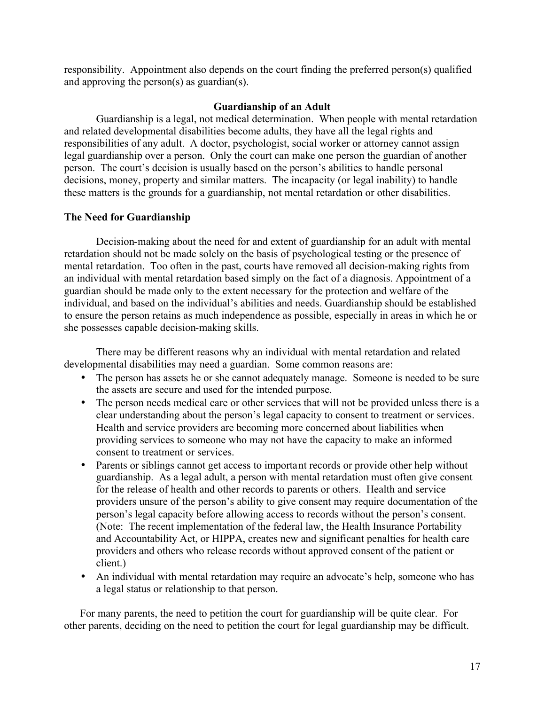responsibility. Appointment also depends on the court finding the preferred person(s) qualified and approving the person(s) as guardian(s).

### **Guardianship of an Adult**

Guardianship is a legal, not medical determination. When people with mental retardation and related developmental disabilities become adults, they have all the legal rights and responsibilities of any adult. A doctor, psychologist, social worker or attorney cannot assign legal guardianship over a person. Only the court can make one person the guardian of another person. The court's decision is usually based on the person's abilities to handle personal decisions, money, property and similar matters. The incapacity (or legal inability) to handle these matters is the grounds for a guardianship, not mental retardation or other disabilities.

# **The Need for Guardianship**

Decision-making about the need for and extent of guardianship for an adult with mental retardation should not be made solely on the basis of psychological testing or the presence of mental retardation. Too often in the past, courts have removed all decision-making rights from an individual with mental retardation based simply on the fact of a diagnosis. Appointment of a guardian should be made only to the extent necessary for the protection and welfare of the individual, and based on the individual's abilities and needs. Guardianship should be established to ensure the person retains as much independence as possible, especially in areas in which he or she possesses capable decision-making skills.

There may be different reasons why an individual with mental retardation and related developmental disabilities may need a guardian. Some common reasons are:

- The person has assets he or she cannot adequately manage. Someone is needed to be sure the assets are secure and used for the intended purpose.
- The person needs medical care or other services that will not be provided unless there is a clear understanding about the person's legal capacity to consent to treatment or services. Health and service providers are becoming more concerned about liabilities when providing services to someone who may not have the capacity to make an informed consent to treatment or services.
- Parents or siblings cannot get access to important records or provide other help without guardianship. As a legal adult, a person with mental retardation must often give consent for the release of health and other records to parents or others. Health and service providers unsure of the person's ability to give consent may require documentation of the person's legal capacity before allowing access to records without the person's consent. (Note: The recent implementation of the federal law, the Health Insurance Portability and Accountability Act, or HIPPA, creates new and significant penalties for health care providers and others who release records without approved consent of the patient or client.)
- An individual with mental retardation may require an advocate's help, someone who has a legal status or relationship to that person.

For many parents, the need to petition the court for guardianship will be quite clear. For other parents, deciding on the need to petition the court for legal guardianship may be difficult.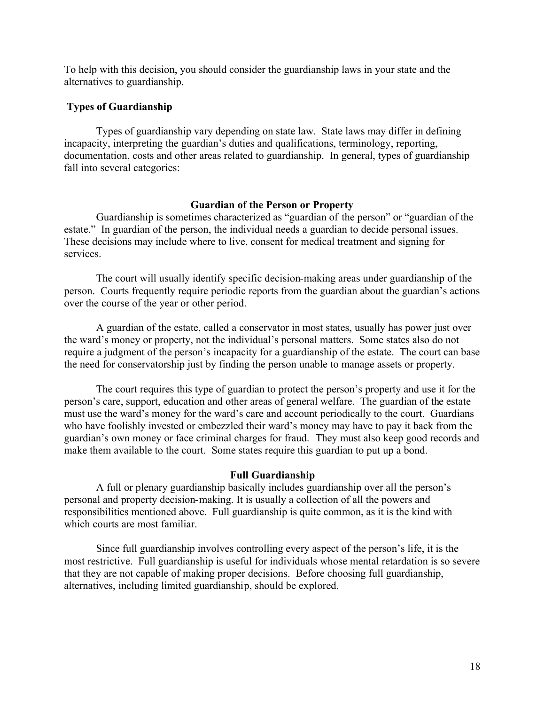To help with this decision, you should consider the guardianship laws in your state and the alternatives to guardianship.

# **Types of Guardianship**

Types of guardianship vary depending on state law. State laws may differ in defining incapacity, interpreting the guardian's duties and qualifications, terminology, reporting, documentation, costs and other areas related to guardianship. In general, types of guardianship fall into several categories:

# **Guardian of the Person or Property**

Guardianship is sometimes characterized as "guardian of the person" or "guardian of the estate." In guardian of the person, the individual needs a guardian to decide personal issues. These decisions may include where to live, consent for medical treatment and signing for services.

The court will usually identify specific decision-making areas under guardianship of the person. Courts frequently require periodic reports from the guardian about the guardian's actions over the course of the year or other period.

A guardian of the estate, called a conservator in most states, usually has power just over the ward's money or property, not the individual's personal matters. Some states also do not require a judgment of the person's incapacity for a guardianship of the estate. The court can base the need for conservatorship just by finding the person unable to manage assets or property.

The court requires this type of guardian to protect the person's property and use it for the person's care, support, education and other areas of general welfare. The guardian of the estate must use the ward's money for the ward's care and account periodically to the court. Guardians who have foolishly invested or embezzled their ward's money may have to pay it back from the guardian's own money or face criminal charges for fraud. They must also keep good records and make them available to the court. Some states require this guardian to put up a bond.

# **Full Guardianship**

A full or plenary guardianship basically includes guardianship over all the person's personal and property decision-making. It is usually a collection of all the powers and responsibilities mentioned above. Full guardianship is quite common, as it is the kind with which courts are most familiar.

Since full guardianship involves controlling every aspect of the person's life, it is the most restrictive. Full guardianship is useful for individuals whose mental retardation is so severe that they are not capable of making proper decisions. Before choosing full guardianship, alternatives, including limited guardianship, should be explored.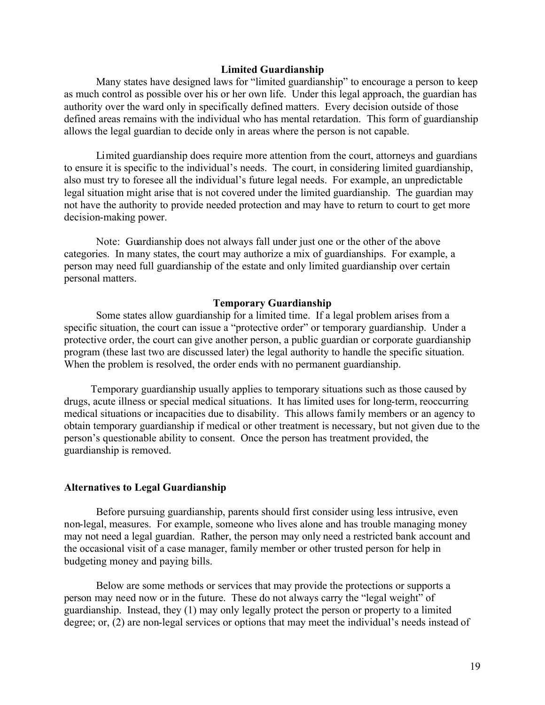# **Limited Guardianship**

Many states have designed laws for "limited guardianship" to encourage a person to keep as much control as possible over his or her own life. Under this legal approach, the guardian has authority over the ward only in specifically defined matters. Every decision outside of those defined areas remains with the individual who has mental retardation. This form of guardianship allows the legal guardian to decide only in areas where the person is not capable.

Limited guardianship does require more attention from the court, attorneys and guardians to ensure it is specific to the individual's needs. The court, in considering limited guardianship, also must try to foresee all the individual's future legal needs. For example, an unpredictable legal situation might arise that is not covered under the limited guardianship. The guardian may not have the authority to provide needed protection and may have to return to court to get more decision-making power.

Note: Guardianship does not always fall under just one or the other of the above categories. In many states, the court may authorize a mix of guardianships. For example, a person may need full guardianship of the estate and only limited guardianship over certain personal matters.

#### **Temporary Guardianship**

Some states allow guardianship for a limited time. If a legal problem arises from a specific situation, the court can issue a "protective order" or temporary guardianship. Under a protective order, the court can give another person, a public guardian or corporate guardianship program (these last two are discussed later) the legal authority to handle the specific situation. When the problem is resolved, the order ends with no permanent guardianship.

 Temporary guardianship usually applies to temporary situations such as those caused by drugs, acute illness or special medical situations. It has limited uses for long-term, reoccurring medical situations or incapacities due to disability. This allows family members or an agency to obtain temporary guardianship if medical or other treatment is necessary, but not given due to the person's questionable ability to consent. Once the person has treatment provided, the guardianship is removed.

#### **Alternatives to Legal Guardianship**

Before pursuing guardianship, parents should first consider using less intrusive, even non-legal, measures. For example, someone who lives alone and has trouble managing money may not need a legal guardian. Rather, the person may only need a restricted bank account and the occasional visit of a case manager, family member or other trusted person for help in budgeting money and paying bills.

Below are some methods or services that may provide the protections or supports a person may need now or in the future. These do not always carry the "legal weight" of guardianship. Instead, they (1) may only legally protect the person or property to a limited degree; or, (2) are non-legal services or options that may meet the individual's needs instead of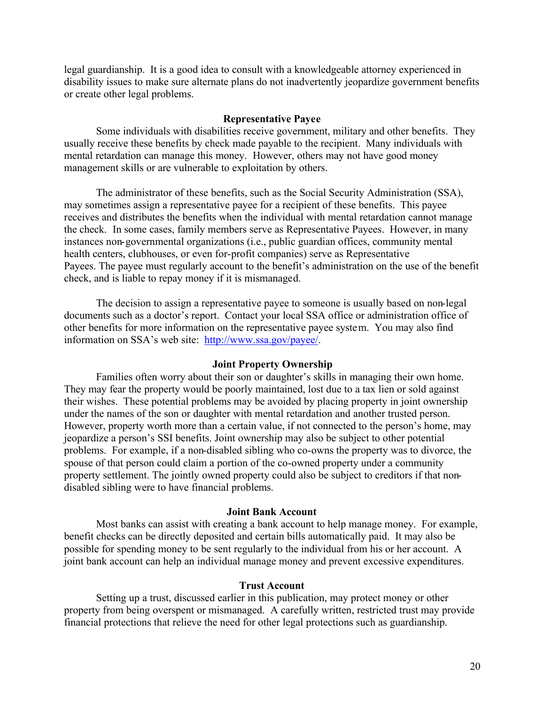legal guardianship. It is a good idea to consult with a knowledgeable attorney experienced in disability issues to make sure alternate plans do not inadvertently jeopardize government benefits or create other legal problems.

#### **Representative Payee**

Some individuals with disabilities receive government, military and other benefits. They usually receive these benefits by check made payable to the recipient. Many individuals with mental retardation can manage this money. However, others may not have good money management skills or are vulnerable to exploitation by others.

The administrator of these benefits, such as the Social Security Administration (SSA), may sometimes assign a representative payee for a recipient of these benefits. This payee receives and distributes the benefits when the individual with mental retardation cannot manage the check. In some cases, family members serve as Representative Payees. However, in many instances non-governmental organizations (i.e., public guardian offices, community mental health centers, clubhouses, or even for-profit companies) serve as Representative Payees. The payee must regularly account to the benefit's administration on the use of the benefit check, and is liable to repay money if it is mismanaged.

The decision to assign a representative payee to someone is usually based on non-legal documents such as a doctor's report. Contact your local SSA office or administration office of other benefits for more information on the representative payee system. You may also find information on SSA's web site: [http://www.ssa.gov/payee/.](http://www.ssa.gov/payee/)

#### **Joint Property Ownership**

Families often worry about their son or daughter's skills in managing their own home. They may fear the property would be poorly maintained, lost due to a tax lien or sold against their wishes. These potential problems may be avoided by placing property in joint ownership under the names of the son or daughter with mental retardation and another trusted person. However, property worth more than a certain value, if not connected to the person's home, may jeopardize a person's SSI benefits. Joint ownership may also be subject to other potential problems. For example, if a non-disabled sibling who co-owns the property was to divorce, the spouse of that person could claim a portion of the co-owned property under a community property settlement. The jointly owned property could also be subject to creditors if that nondisabled sibling were to have financial problems.

#### **Joint Bank Account**

Most banks can assist with creating a bank account to help manage money. For example, benefit checks can be directly deposited and certain bills automatically paid. It may also be possible for spending money to be sent regularly to the individual from his or her account. A joint bank account can help an individual manage money and prevent excessive expenditures.

#### **Trust Account**

Setting up a trust, discussed earlier in this publication, may protect money or other property from being overspent or mismanaged. A carefully written, restricted trust may provide financial protections that relieve the need for other legal protections such as guardianship.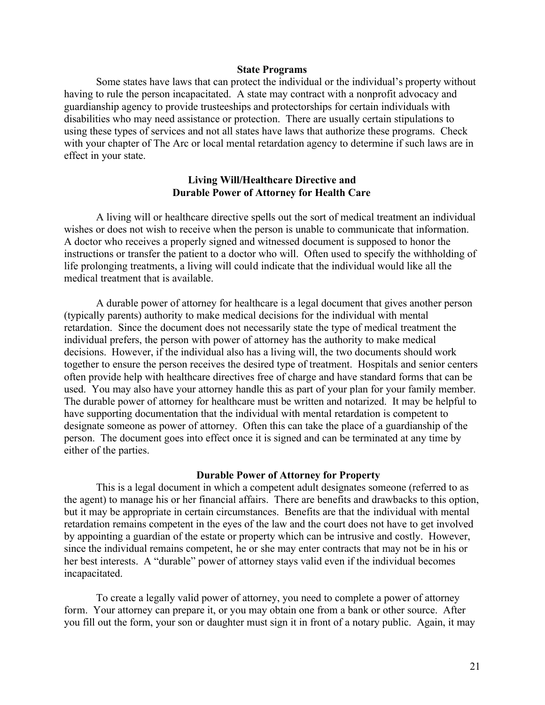#### **State Programs**

Some states have laws that can protect the individual or the individual's property without having to rule the person incapacitated. A state may contract with a nonprofit advocacy and guardianship agency to provide trusteeships and protectorships for certain individuals with disabilities who may need assistance or protection. There are usually certain stipulations to using these types of services and not all states have laws that authorize these programs. Check with your chapter of The Arc or local mental retardation agency to determine if such laws are in effect in your state.

# **Living Will/Healthcare Directive and Durable Power of Attorney for Health Care**

A living will or healthcare directive spells out the sort of medical treatment an individual wishes or does not wish to receive when the person is unable to communicate that information. A doctor who receives a properly signed and witnessed document is supposed to honor the instructions or transfer the patient to a doctor who will. Often used to specify the withholding of life prolonging treatments, a living will could indicate that the individual would like all the medical treatment that is available.

A durable power of attorney for healthcare is a legal document that gives another person (typically parents) authority to make medical decisions for the individual with mental retardation. Since the document does not necessarily state the type of medical treatment the individual prefers, the person with power of attorney has the authority to make medical decisions. However, if the individual also has a living will, the two documents should work together to ensure the person receives the desired type of treatment. Hospitals and senior centers often provide help with healthcare directives free of charge and have standard forms that can be used. You may also have your attorney handle this as part of your plan for your family member. The durable power of attorney for healthcare must be written and notarized. It may be helpful to have supporting documentation that the individual with mental retardation is competent to designate someone as power of attorney. Often this can take the place of a guardianship of the person. The document goes into effect once it is signed and can be terminated at any time by either of the parties.

#### **Durable Power of Attorney for Property**

This is a legal document in which a competent adult designates someone (referred to as the agent) to manage his or her financial affairs. There are benefits and drawbacks to this option, but it may be appropriate in certain circumstances. Benefits are that the individual with mental retardation remains competent in the eyes of the law and the court does not have to get involved by appointing a guardian of the estate or property which can be intrusive and costly. However, since the individual remains competent, he or she may enter contracts that may not be in his or her best interests. A "durable" power of attorney stays valid even if the individual becomes incapacitated.

To create a legally valid power of attorney, you need to complete a power of attorney form. Your attorney can prepare it, or you may obtain one from a bank or other source. After you fill out the form, your son or daughter must sign it in front of a notary public. Again, it may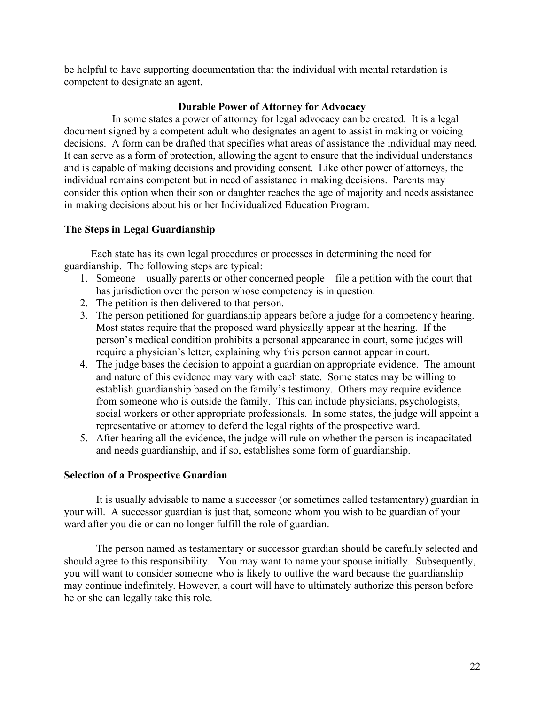be helpful to have supporting documentation that the individual with mental retardation is competent to designate an agent.

# **Durable Power of Attorney for Advocacy**

In some states a power of attorney for legal advocacy can be created. It is a legal document signed by a competent adult who designates an agent to assist in making or voicing decisions. A form can be drafted that specifies what areas of assistance the individual may need. It can serve as a form of protection, allowing the agent to ensure that the individual understands and is capable of making decisions and providing consent. Like other power of attorneys, the individual remains competent but in need of assistance in making decisions. Parents may consider this option when their son or daughter reaches the age of majority and needs assistance in making decisions about his or her Individualized Education Program.

# **The Steps in Legal Guardianship**

 Each state has its own legal procedures or processes in determining the need for guardianship. The following steps are typical:

- 1. Someone usually parents or other concerned people file a petition with the court that has jurisdiction over the person whose competency is in question.
- 2. The petition is then delivered to that person.
- 3. The person petitioned for guardianship appears before a judge for a competency hearing. Most states require that the proposed ward physically appear at the hearing. If the person's medical condition prohibits a personal appearance in court, some judges will require a physician's letter, explaining why this person cannot appear in court.
- 4. The judge bases the decision to appoint a guardian on appropriate evidence. The amount and nature of this evidence may vary with each state. Some states may be willing to establish guardianship based on the family's testimony. Others may require evidence from someone who is outside the family. This can include physicians, psychologists, social workers or other appropriate professionals. In some states, the judge will appoint a representative or attorney to defend the legal rights of the prospective ward.
- 5. After hearing all the evidence, the judge will rule on whether the person is incapacitated and needs guardianship, and if so, establishes some form of guardianship.

# **Selection of a Prospective Guardian**

It is usually advisable to name a successor (or sometimes called testamentary) guardian in your will. A successor guardian is just that, someone whom you wish to be guardian of your ward after you die or can no longer fulfill the role of guardian.

The person named as testamentary or successor guardian should be carefully selected and should agree to this responsibility. You may want to name your spouse initially. Subsequently, you will want to consider someone who is likely to outlive the ward because the guardianship may continue indefinitely. However, a court will have to ultimately authorize this person before he or she can legally take this role.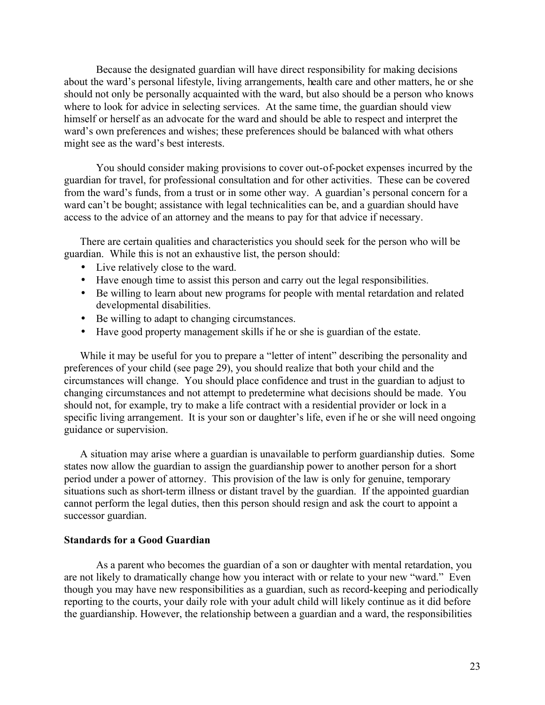Because the designated guardian will have direct responsibility for making decisions about the ward's personal lifestyle, living arrangements, health care and other matters, he or she should not only be personally acquainted with the ward, but also should be a person who knows where to look for advice in selecting services. At the same time, the guardian should view himself or herself as an advocate for the ward and should be able to respect and interpret the ward's own preferences and wishes; these preferences should be balanced with what others might see as the ward's best interests.

You should consider making provisions to cover out-of-pocket expenses incurred by the guardian for travel, for professional consultation and for other activities. These can be covered from the ward's funds, from a trust or in some other way. A guardian's personal concern for a ward can't be bought; assistance with legal technicalities can be, and a guardian should have access to the advice of an attorney and the means to pay for that advice if necessary.

There are certain qualities and characteristics you should seek for the person who will be guardian. While this is not an exhaustive list, the person should:

- Live relatively close to the ward.
- Have enough time to assist this person and carry out the legal responsibilities.
- Be willing to learn about new programs for people with mental retardation and related developmental disabilities.
- Be willing to adapt to changing circumstances.
- Have good property management skills if he or she is guardian of the estate.

While it may be useful for you to prepare a "letter of intent" describing the personality and preferences of your child (see page 29), you should realize that both your child and the circumstances will change. You should place confidence and trust in the guardian to adjust to changing circumstances and not attempt to predetermine what decisions should be made. You should not, for example, try to make a life contract with a residential provider or lock in a specific living arrangement. It is your son or daughter's life, even if he or she will need ongoing guidance or supervision.

A situation may arise where a guardian is unavailable to perform guardianship duties. Some states now allow the guardian to assign the guardianship power to another person for a short period under a power of attorney. This provision of the law is only for genuine, temporary situations such as short-term illness or distant travel by the guardian. If the appointed guardian cannot perform the legal duties, then this person should resign and ask the court to appoint a successor guardian.

### **Standards for a Good Guardian**

As a parent who becomes the guardian of a son or daughter with mental retardation, you are not likely to dramatically change how you interact with or relate to your new "ward." Even though you may have new responsibilities as a guardian, such as record-keeping and periodically reporting to the courts, your daily role with your adult child will likely continue as it did before the guardianship. However, the relationship between a guardian and a ward, the responsibilities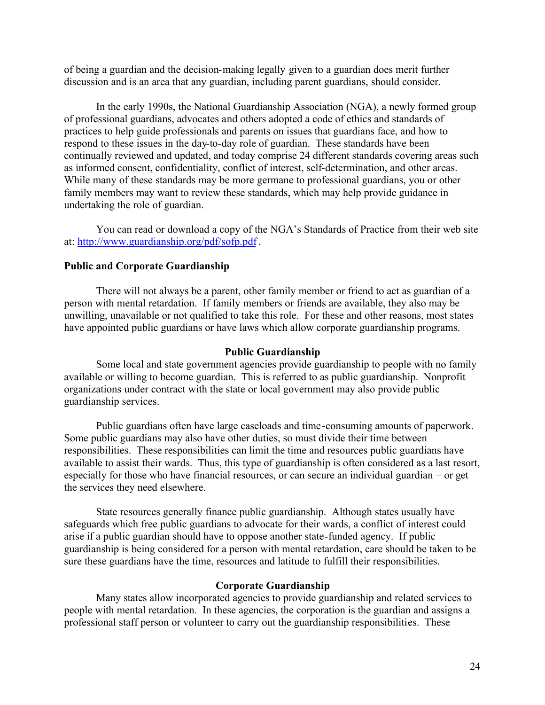of being a guardian and the decision-making legally given to a guardian does merit further discussion and is an area that any guardian, including parent guardians, should consider.

In the early 1990s, the National Guardianship Association (NGA), a newly formed group of professional guardians, advocates and others adopted a code of ethics and standards of practices to help guide professionals and parents on issues that guardians face, and how to respond to these issues in the day-to-day role of guardian. These standards have been continually reviewed and updated, and today comprise 24 different standards covering areas such as informed consent, confidentiality, conflict of interest, self-determination, and other areas. While many of these standards may be more germane to professional guardians, you or other family members may want to review these standards, which may help provide guidance in undertaking the role of guardian.

You can read or download a copy of the NGA's Standards of Practice from their web site at:<http://www.guardianship.org/pdf/sofp.pdf>.

#### **Public and Corporate Guardianship**

There will not always be a parent, other family member or friend to act as guardian of a person with mental retardation. If family members or friends are available, they also may be unwilling, unavailable or not qualified to take this role. For these and other reasons, most states have appointed public guardians or have laws which allow corporate guardianship programs.

### **Public Guardianship**

Some local and state government agencies provide guardianship to people with no family available or willing to become guardian. This is referred to as public guardianship. Nonprofit organizations under contract with the state or local government may also provide public guardianship services.

Public guardians often have large caseloads and time-consuming amounts of paperwork. Some public guardians may also have other duties, so must divide their time between responsibilities. These responsibilities can limit the time and resources public guardians have available to assist their wards. Thus, this type of guardianship is often considered as a last resort, especially for those who have financial resources, or can secure an individual guardian – or get the services they need elsewhere.

State resources generally finance public guardianship. Although states usually have safeguards which free public guardians to advocate for their wards, a conflict of interest could arise if a public guardian should have to oppose another state-funded agency. If public guardianship is being considered for a person with mental retardation, care should be taken to be sure these guardians have the time, resources and latitude to fulfill their responsibilities.

#### **Corporate Guardianship**

Many states allow incorporated agencies to provide guardianship and related services to people with mental retardation. In these agencies, the corporation is the guardian and assigns a professional staff person or volunteer to carry out the guardianship responsibilities. These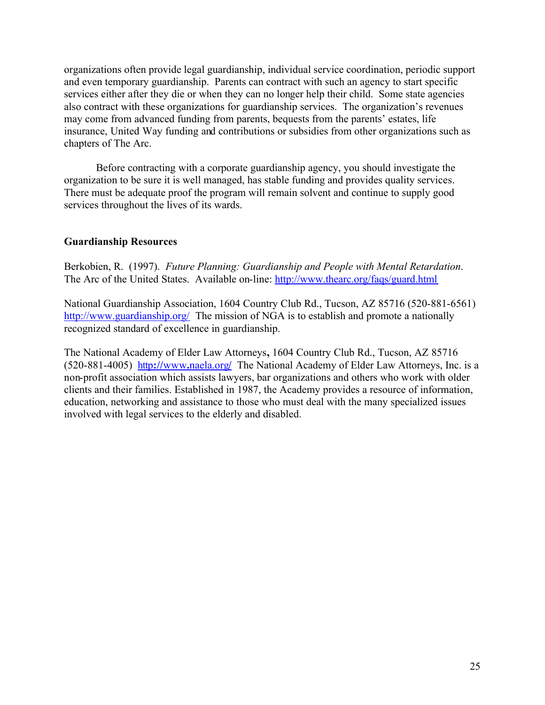organizations often provide legal guardianship, individual service coordination, periodic support and even temporary guardianship. Parents can contract with such an agency to start specific services either after they die or when they can no longer help their child. Some state agencies also contract with these organizations for guardianship services. The organization's revenues may come from advanced funding from parents, bequests from the parents' estates, life insurance, United Way funding and contributions or subsidies from other organizations such as chapters of The Arc.

Before contracting with a corporate guardianship agency, you should investigate the organization to be sure it is well managed, has stable funding and provides quality services. There must be adequate proof the program will remain solvent and continue to supply good services throughout the lives of its wards.

# **Guardianship Resources**

Berkobien, R. (1997). *Future Planning: Guardianship and People with Mental Retardation*. The Arc of the United States. Available on-line:<http://www.thearc.org/faqs/guard.html>

National Guardianship Association, 1604 Country Club Rd., Tucson, AZ 85716 (520-881-6561) <http://www.guardianship.org/> The mission of NGA is to establish and promote a nationally recognized standard of excellence in guardianship.

The National Academy of Elder Law Attorneys**,** 1604 Country Club Rd., Tucson, AZ 85716 (520-881-4005)http**://**www**.**[naela.org](http://www.naela.org/)**/** The National Academy of Elder Law Attorneys, Inc. is a non-profit association which assists lawyers, bar organizations and others who work with older clients and their families. Established in 1987, the Academy provides a resource of information, education, networking and assistance to those who must deal with the many specialized issues involved with legal services to the elderly and disabled.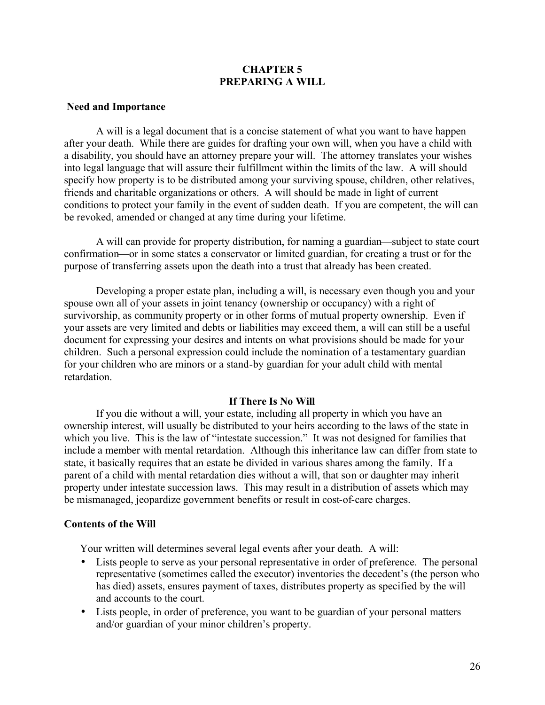# **CHAPTER 5 PREPARING A WILL**

#### **Need and Importance**

A will is a legal document that is a concise statement of what you want to have happen after your death. While there are guides for drafting your own will, when you have a child with a disability, you should have an attorney prepare your will. The attorney translates your wishes into legal language that will assure their fulfillment within the limits of the law. A will should specify how property is to be distributed among your surviving spouse, children, other relatives, friends and charitable organizations or others. A will should be made in light of current conditions to protect your family in the event of sudden death. If you are competent, the will can be revoked, amended or changed at any time during your lifetime.

A will can provide for property distribution, for naming a guardian—subject to state court confirmation—or in some states a conservator or limited guardian, for creating a trust or for the purpose of transferring assets upon the death into a trust that already has been created.

Developing a proper estate plan, including a will, is necessary even though you and your spouse own all of your assets in joint tenancy (ownership or occupancy) with a right of survivorship, as community property or in other forms of mutual property ownership. Even if your assets are very limited and debts or liabilities may exceed them, a will can still be a useful document for expressing your desires and intents on what provisions should be made for your children. Such a personal expression could include the nomination of a testamentary guardian for your children who are minors or a stand-by guardian for your adult child with mental retardation.

#### **If There Is No Will**

If you die without a will, your estate, including all property in which you have an ownership interest, will usually be distributed to your heirs according to the laws of the state in which you live. This is the law of "intestate succession." It was not designed for families that include a member with mental retardation. Although this inheritance law can differ from state to state, it basically requires that an estate be divided in various shares among the family. If a parent of a child with mental retardation dies without a will, that son or daughter may inherit property under intestate succession laws. This may result in a distribution of assets which may be mismanaged, jeopardize government benefits or result in cost-of-care charges.

#### **Contents of the Will**

Your written will determines several legal events after your death. A will:

- Lists people to serve as your personal representative in order of preference. The personal representative (sometimes called the executor) inventories the decedent's (the person who has died) assets, ensures payment of taxes, distributes property as specified by the will and accounts to the court.
- Lists people, in order of preference, you want to be guardian of your personal matters and/or guardian of your minor children's property.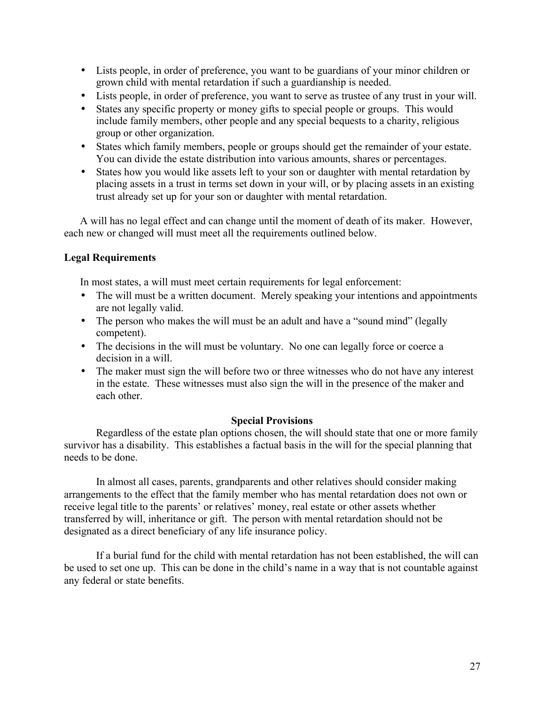- Lists people, in order of preference, you want to be guardians of your minor children or grown child with mental retardation if such a guardianship is needed.
- Lists people, in order of preference, you want to serve as trustee of any trust in your will.
- States any specific property or money gifts to special people or groups. This would include family members, other people and any special bequests to a charity, religious group or other organization.
- States which family members, people or groups should get the remainder of your estate. You can divide the estate distribution into various amounts, shares or percentages.
- States how you would like assets left to your son or daughter with mental retardation by placing assets in a trust in terms set down in your will, or by placing assets in an existing trust already set up for your son or daughter with mental retardation.

A will has no legal effect and can change until the moment of death of its maker. However, each new or changed will must meet all the requirements outlined below.

# **Legal Requirements**

In most states, a will must meet certain requirements for legal enforcement:

- The will must be a written document. Merely speaking your intentions and appointments are not legally valid.
- The person who makes the will must be an adult and have a "sound mind" (legally competent).
- The decisions in the will must be voluntary. No one can legally force or coerce a decision in a will.
- The maker must sign the will before two or three witnesses who do not have any interest in the estate. These witnesses must also sign the will in the presence of the maker and each other.

#### **Special Provisions**

Regardless of the estate plan options chosen, the will should state that one or more family survivor has a disability. This establishes a factual basis in the will for the special planning that needs to be done.

In almost all cases, parents, grandparents and other relatives should consider making arrangements to the effect that the family member who has mental retardation does not own or receive legal title to the parents' or relatives' money, real estate or other assets whether transferred by will, inheritance or gift. The person with mental retardation should not be designated as a direct beneficiary of any life insurance policy.

If a burial fund for the child with mental retardation has not been established, the will can be used to set one up. This can be done in the child's name in a way that is not countable against any federal or state benefits.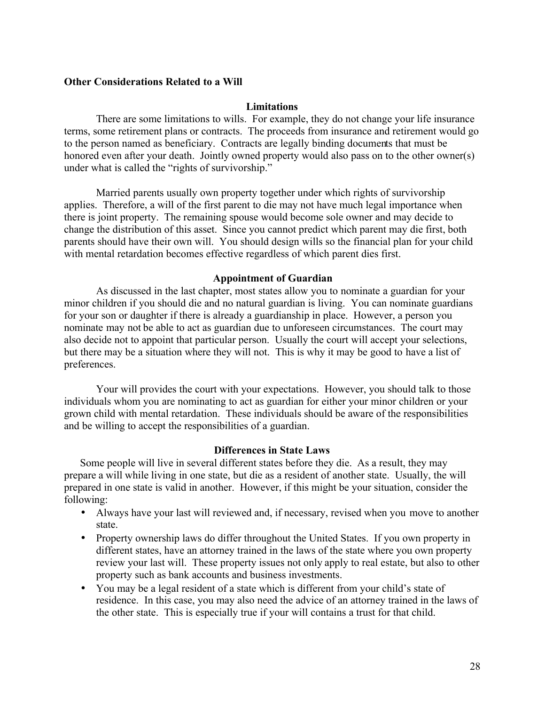#### **Other Considerations Related to a Will**

#### **Limitations**

There are some limitations to wills. For example, they do not change your life insurance terms, some retirement plans or contracts. The proceeds from insurance and retirement would go to the person named as beneficiary. Contracts are legally binding documents that must be honored even after your death. Jointly owned property would also pass on to the other owner(s) under what is called the "rights of survivorship."

Married parents usually own property together under which rights of survivorship applies. Therefore, a will of the first parent to die may not have much legal importance when there is joint property. The remaining spouse would become sole owner and may decide to change the distribution of this asset. Since you cannot predict which parent may die first, both parents should have their own will. You should design wills so the financial plan for your child with mental retardation becomes effective regardless of which parent dies first.

#### **Appointment of Guardian**

As discussed in the last chapter, most states allow you to nominate a guardian for your minor children if you should die and no natural guardian is living. You can nominate guardians for your son or daughter if there is already a guardianship in place. However, a person you nominate may not be able to act as guardian due to unforeseen circumstances. The court may also decide not to appoint that particular person. Usually the court will accept your selections, but there may be a situation where they will not. This is why it may be good to have a list of preferences.

Your will provides the court with your expectations. However, you should talk to those individuals whom you are nominating to act as guardian for either your minor children or your grown child with mental retardation. These individuals should be aware of the responsibilities and be willing to accept the responsibilities of a guardian.

#### **Differences in State Laws**

Some people will live in several different states before they die. As a result, they may prepare a will while living in one state, but die as a resident of another state. Usually, the will prepared in one state is valid in another. However, if this might be your situation, consider the following:

- Always have your last will reviewed and, if necessary, revised when you move to another state.
- Property ownership laws do differ throughout the United States. If you own property in different states, have an attorney trained in the laws of the state where you own property review your last will. These property issues not only apply to real estate, but also to other property such as bank accounts and business investments.
- You may be a legal resident of a state which is different from your child's state of residence. In this case, you may also need the advice of an attorney trained in the laws of the other state. This is especially true if your will contains a trust for that child.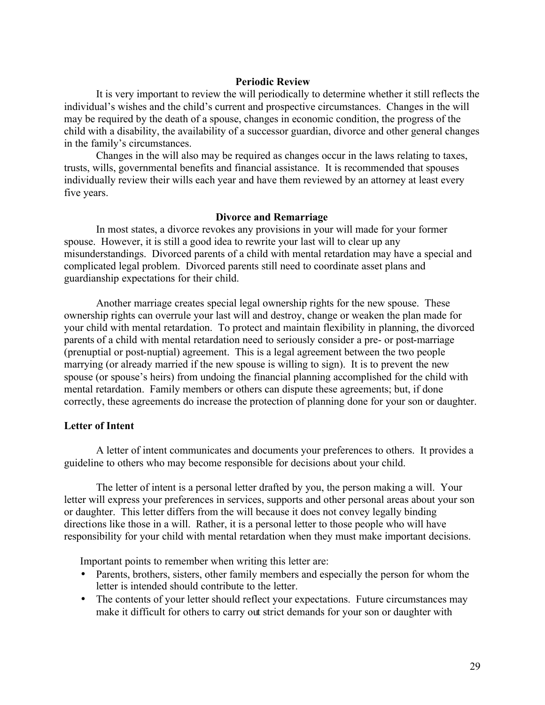#### **Periodic Review**

It is very important to review the will periodically to determine whether it still reflects the individual's wishes and the child's current and prospective circumstances. Changes in the will may be required by the death of a spouse, changes in economic condition, the progress of the child with a disability, the availability of a successor guardian, divorce and other general changes in the family's circumstances.

Changes in the will also may be required as changes occur in the laws relating to taxes, trusts, wills, governmental benefits and financial assistance. It is recommended that spouses individually review their wills each year and have them reviewed by an attorney at least every five years.

#### **Divorce and Remarriage**

In most states, a divorce revokes any provisions in your will made for your former spouse. However, it is still a good idea to rewrite your last will to clear up any misunderstandings. Divorced parents of a child with mental retardation may have a special and complicated legal problem. Divorced parents still need to coordinate asset plans and guardianship expectations for their child.

Another marriage creates special legal ownership rights for the new spouse. These ownership rights can overrule your last will and destroy, change or weaken the plan made for your child with mental retardation. To protect and maintain flexibility in planning, the divorced parents of a child with mental retardation need to seriously consider a pre- or post-marriage (prenuptial or post-nuptial) agreement. This is a legal agreement between the two people marrying (or already married if the new spouse is willing to sign). It is to prevent the new spouse (or spouse's heirs) from undoing the financial planning accomplished for the child with mental retardation. Family members or others can dispute these agreements; but, if done correctly, these agreements do increase the protection of planning done for your son or daughter.

# **Letter of Intent**

A letter of intent communicates and documents your preferences to others. It provides a guideline to others who may become responsible for decisions about your child.

The letter of intent is a personal letter drafted by you, the person making a will. Your letter will express your preferences in services, supports and other personal areas about your son or daughter. This letter differs from the will because it does not convey legally binding directions like those in a will. Rather, it is a personal letter to those people who will have responsibility for your child with mental retardation when they must make important decisions.

Important points to remember when writing this letter are:

- Parents, brothers, sisters, other family members and especially the person for whom the letter is intended should contribute to the letter.
- The contents of your letter should reflect your expectations. Future circumstances may make it difficult for others to carry out strict demands for your son or daughter with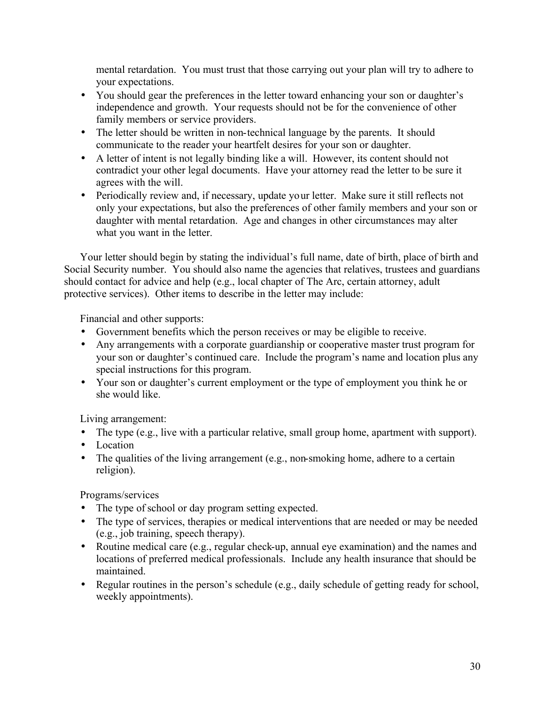mental retardation. You must trust that those carrying out your plan will try to adhere to your expectations.

- You should gear the preferences in the letter toward enhancing your son or daughter's independence and growth. Your requests should not be for the convenience of other family members or service providers.
- The letter should be written in non-technical language by the parents. It should communicate to the reader your heartfelt desires for your son or daughter.
- A letter of intent is not legally binding like a will. However, its content should not contradict your other legal documents. Have your attorney read the letter to be sure it agrees with the will.
- Periodically review and, if necessary, update your letter. Make sure it still reflects not only your expectations, but also the preferences of other family members and your son or daughter with mental retardation. Age and changes in other circumstances may alter what you want in the letter.

Your letter should begin by stating the individual's full name, date of birth, place of birth and Social Security number. You should also name the agencies that relatives, trustees and guardians should contact for advice and help (e.g., local chapter of The Arc, certain attorney, adult protective services). Other items to describe in the letter may include:

Financial and other supports:

- Government benefits which the person receives or may be eligible to receive.
- Any arrangements with a corporate guardianship or cooperative master trust program for your son or daughter's continued care. Include the program's name and location plus any special instructions for this program.
- Your son or daughter's current employment or the type of employment you think he or she would like.

Living arrangement:

- The type (e.g., live with a particular relative, small group home, apartment with support).
- Location
- The qualities of the living arrangement (e.g., non-smoking home, adhere to a certain religion).

Programs/services

- The type of school or day program setting expected.
- The type of services, therapies or medical interventions that are needed or may be needed (e.g., job training, speech therapy).
- Routine medical care (e.g., regular check-up, annual eye examination) and the names and locations of preferred medical professionals. Include any health insurance that should be maintained.
- Regular routines in the person's schedule (e.g., daily schedule of getting ready for school, weekly appointments).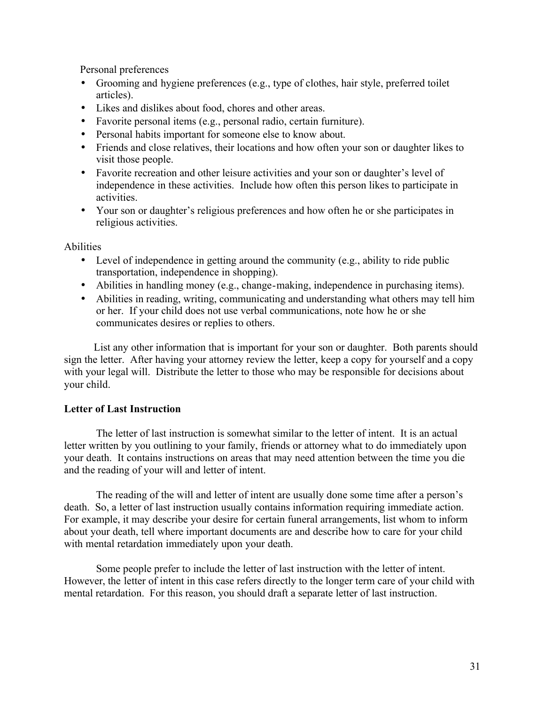Personal preferences

- Grooming and hygiene preferences (e.g., type of clothes, hair style, preferred toilet articles).
- Likes and dislikes about food, chores and other areas.
- Favorite personal items (e.g., personal radio, certain furniture).
- Personal habits important for someone else to know about.
- Friends and close relatives, their locations and how often your son or daughter likes to visit those people.
- Favorite recreation and other leisure activities and your son or daughter's level of independence in these activities. Include how often this person likes to participate in activities.
- Your son or daughter's religious preferences and how often he or she participates in religious activities.

Abilities

- Level of independence in getting around the community (e.g., ability to ride public transportation, independence in shopping).
- Abilities in handling money (e.g., change-making, independence in purchasing items).
- Abilities in reading, writing, communicating and understanding what others may tell him or her. If your child does not use verbal communications, note how he or she communicates desires or replies to others.

 List any other information that is important for your son or daughter. Both parents should sign the letter. After having your attorney review the letter, keep a copy for yourself and a copy with your legal will. Distribute the letter to those who may be responsible for decisions about your child.

# **Letter of Last Instruction**

The letter of last instruction is somewhat similar to the letter of intent. It is an actual letter written by you outlining to your family, friends or attorney what to do immediately upon your death. It contains instructions on areas that may need attention between the time you die and the reading of your will and letter of intent.

The reading of the will and letter of intent are usually done some time after a person's death. So, a letter of last instruction usually contains information requiring immediate action. For example, it may describe your desire for certain funeral arrangements, list whom to inform about your death, tell where important documents are and describe how to care for your child with mental retardation immediately upon your death.

Some people prefer to include the letter of last instruction with the letter of intent. However, the letter of intent in this case refers directly to the longer term care of your child with mental retardation. For this reason, you should draft a separate letter of last instruction.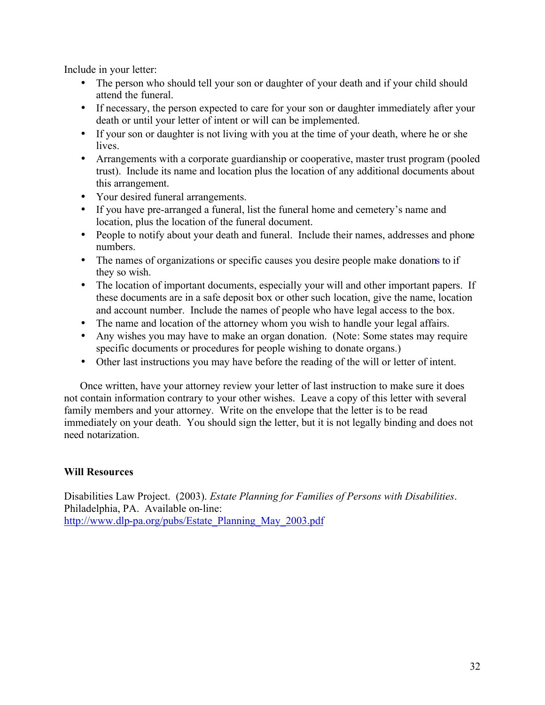Include in your letter:

- The person who should tell your son or daughter of your death and if your child should attend the funeral.
- If necessary, the person expected to care for your son or daughter immediately after your death or until your letter of intent or will can be implemented.
- If your son or daughter is not living with you at the time of your death, where he or she lives.
- Arrangements with a corporate guardianship or cooperative, master trust program (pooled trust). Include its name and location plus the location of any additional documents about this arrangement.
- Your desired funeral arrangements.
- If you have pre-arranged a funeral, list the funeral home and cemetery's name and location, plus the location of the funeral document.
- People to notify about your death and funeral. Include their names, addresses and phone numbers.
- The names of organizations or specific causes you desire people make donations to if they so wish.
- The location of important documents, especially your will and other important papers. If these documents are in a safe deposit box or other such location, give the name, location and account number. Include the names of people who have legal access to the box.
- The name and location of the attorney whom you wish to handle your legal affairs.
- Any wishes you may have to make an organ donation. (Note: Some states may require specific documents or procedures for people wishing to donate organs.)
- Other last instructions you may have before the reading of the will or letter of intent.

Once written, have your attorney review your letter of last instruction to make sure it does not contain information contrary to your other wishes. Leave a copy of this letter with several family members and your attorney. Write on the envelope that the letter is to be read immediately on your death. You should sign the letter, but it is not legally binding and does not need notarization.

# **Will Resources**

Disabilities Law Project. (2003). *Estate Planning for Families of Persons with Disabilities*. Philadelphia, PA. Available on-line: [http://www.dlp-pa.org/pubs/Estate\\_Planning\\_May\\_2003.pdf](http://www.dlp-pa.org/pubs/Estate_Planning_May_2003.pdf)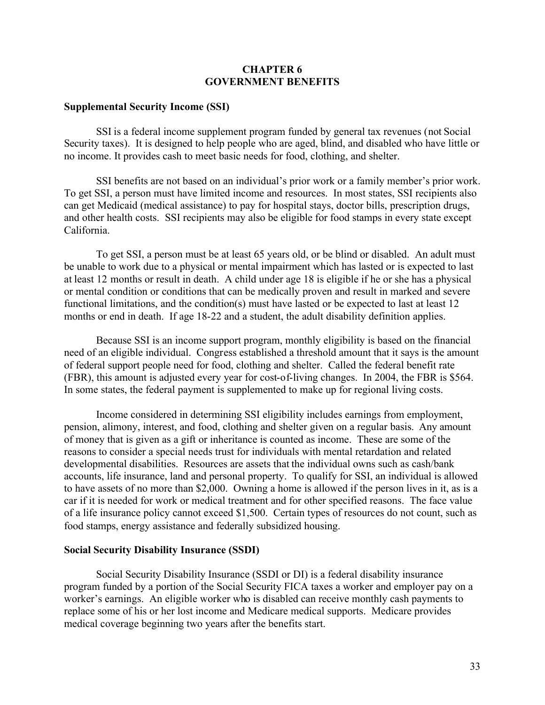#### **CHAPTER 6 GOVERNMENT BENEFITS**

#### **Supplemental Security Income (SSI)**

SSI is a federal income supplement program funded by general tax revenues (not Social Security taxes). It is designed to help people who are aged, blind, and disabled who have little or no income. It provides cash to meet basic needs for food, clothing, and shelter.

SSI benefits are not based on an individual's prior work or a family member's prior work. To get SSI, a person must have limited income and resources. In most states, SSI recipients also can get Medicaid (medical assistance) to pay for hospital stays, doctor bills, prescription drugs, and other health costs. SSI recipients may also be eligible for food stamps in every state except California.

To get SSI, a person must be at least 65 years old, or be blind or disabled. An adult must be unable to work due to a physical or mental impairment which has lasted or is expected to last at least 12 months or result in death. A child under age 18 is eligible if he or she has a physical or mental condition or conditions that can be medically proven and result in marked and severe functional limitations, and the condition(s) must have lasted or be expected to last at least 12 months or end in death. If age 18-22 and a student, the adult disability definition applies.

Because SSI is an income support program, monthly eligibility is based on the financial need of an eligible individual. Congress established a threshold amount that it says is the amount of federal support people need for food, clothing and shelter. Called the federal benefit rate (FBR), this amount is adjusted every year for cost-of-living changes. In 2004, the FBR is \$564. In some states, the federal payment is supplemented to make up for regional living costs.

Income considered in determining SSI eligibility includes earnings from employment, pension, alimony, interest, and food, clothing and shelter given on a regular basis. Any amount of money that is given as a gift or inheritance is counted as income. These are some of the reasons to consider a special needs trust for individuals with mental retardation and related developmental disabilities. Resources are assets that the individual owns such as cash/bank accounts, life insurance, land and personal property. To qualify for SSI, an individual is allowed to have assets of no more than \$2,000. Owning a home is allowed if the person lives in it, as is a car if it is needed for work or medical treatment and for other specified reasons. The face value of a life insurance policy cannot exceed \$1,500. Certain types of resources do not count, such as food stamps, energy assistance and federally subsidized housing.

#### **Social Security Disability Insurance (SSDI)**

Social Security Disability Insurance (SSDI or DI) is a federal disability insurance program funded by a portion of the Social Security FICA taxes a worker and employer pay on a worker's earnings. An eligible worker who is disabled can receive monthly cash payments to replace some of his or her lost income and Medicare medical supports. Medicare provides medical coverage beginning two years after the benefits start.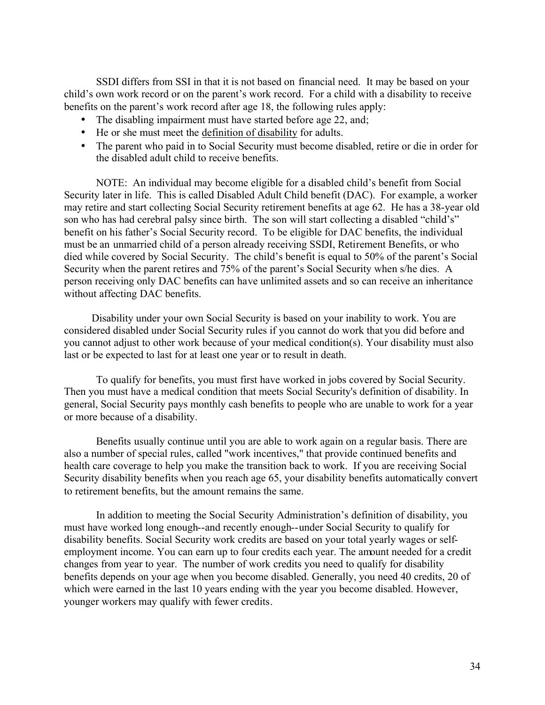SSDI differs from SSI in that it is not based on financial need. It may be based on your child's own work record or on the parent's work record. For a child with a disability to receive benefits on the parent's work record after age 18, the following rules apply:

- The disabling impairment must have started before age 22, and;
- He or she must meet the definition of disability for adults.
- The parent who paid in to Social Security must become disabled, retire or die in order for the disabled adult child to receive benefits.

NOTE: An individual may become eligible for a disabled child's benefit from Social Security later in life. This is called Disabled Adult Child benefit (DAC). For example, a worker may retire and start collecting Social Security retirement benefits at age 62. He has a 38-year old son who has had cerebral palsy since birth. The son will start collecting a disabled "child's" benefit on his father's Social Security record. To be eligible for DAC benefits, the individual must be an unmarried child of a person already receiving SSDI, Retirement Benefits, or who died while covered by Social Security. The child's benefit is equal to 50% of the parent's Social Security when the parent retires and 75% of the parent's Social Security when s/he dies. A person receiving only DAC benefits can have unlimited assets and so can receive an inheritance without affecting DAC benefits.

 Disability under your own Social Security is based on your inability to work. You are considered disabled under Social Security rules if you cannot do work that you did before and you cannot adjust to other work because of your medical condition(s). Your disability must also last or be expected to last for at least one year or to result in death.

To qualify for benefits, you must first have worked in jobs covered by Social Security. Then you must have a medical condition that meets Social Security's definition of disability. In general, Social Security pays monthly cash benefits to people who are unable to work for a year or more because of a disability.

Benefits usually continue until you are able to work again on a regular basis. There are also a number of special rules, called "work incentives," that provide continued benefits and health care coverage to help you make the transition back to work. If you are receiving Social Security disability benefits when you reach age 65, your disability benefits automatically convert to retirement benefits, but the amount remains the same.

In addition to meeting the Social Security Administration's definition of disability, you must have worked long enough--and recently enough--under Social Security to qualify for disability benefits. Social Security work credits are based on your total yearly wages or selfemployment income. You can earn up to four credits each year. The amount needed for a credit changes from year to year. The number of work credits you need to qualify for disability benefits depends on your age when you become disabled. Generally, you need 40 credits, 20 of which were earned in the last 10 years ending with the year you become disabled. However, younger workers may qualify with fewer credits.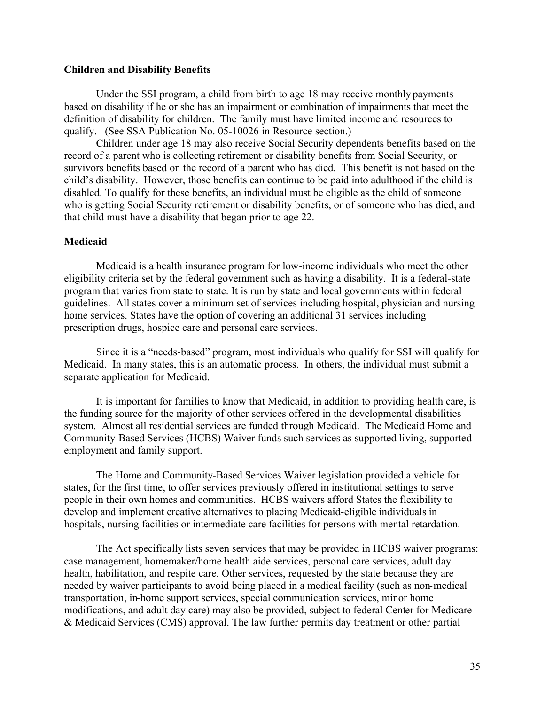#### **Children and Disability Benefits**

Under the SSI program, a child from birth to age 18 may receive monthly payments based on disability if he or she has an impairment or combination of impairments that meet the definition of disability for children. The family must have limited income and resources to qualify. (See SSA Publication No. 05-10026 in Resource section.)

Children under age 18 may also receive Social Security dependents benefits based on the record of a parent who is collecting retirement or disability benefits from Social Security, or survivors benefits based on the record of a parent who has died. This benefit is not based on the child's disability. However, those benefits can continue to be paid into adulthood if the child is disabled. To qualify for these benefits, an individual must be eligible as the child of someone who is getting Social Security retirement or disability benefits, or of someone who has died, and that child must have a disability that began prior to age 22.

#### **Medicaid**

Medicaid is a health insurance program for low-income individuals who meet the other eligibility criteria set by the federal government such as having a disability. It is a federal-state program that varies from state to state. It is run by state and local governments within federal guidelines. All states cover a minimum set of services including hospital, physician and nursing home services. States have the option of covering an additional 31 services including prescription drugs, hospice care and personal care services.

Since it is a "needs-based" program, most individuals who qualify for SSI will qualify for Medicaid. In many states, this is an automatic process. In others, the individual must submit a separate application for Medicaid.

It is important for families to know that Medicaid, in addition to providing health care, is the funding source for the majority of other services offered in the developmental disabilities system. Almost all residential services are funded through Medicaid. The Medicaid Home and Community-Based Services (HCBS) Waiver funds such services as supported living, supported employment and family support.

The Home and Community-Based Services Waiver legislation provided a vehicle for states, for the first time, to offer services previously offered in institutional settings to serve people in their own homes and communities. HCBS waivers afford States the flexibility to develop and implement creative alternatives to placing Medicaid-eligible individuals in hospitals, nursing facilities or intermediate care facilities for persons with mental retardation.

The Act specifically lists seven services that may be provided in HCBS waiver programs: case management, homemaker/home health aide services, personal care services, adult day health, habilitation, and respite care. Other services, requested by the state because they are needed by waiver participants to avoid being placed in a medical facility (such as non-medical transportation, in-home support services, special communication services, minor home modifications, and adult day care) may also be provided, subject to federal Center for Medicare & Medicaid Services (CMS) approval. The law further permits day treatment or other partial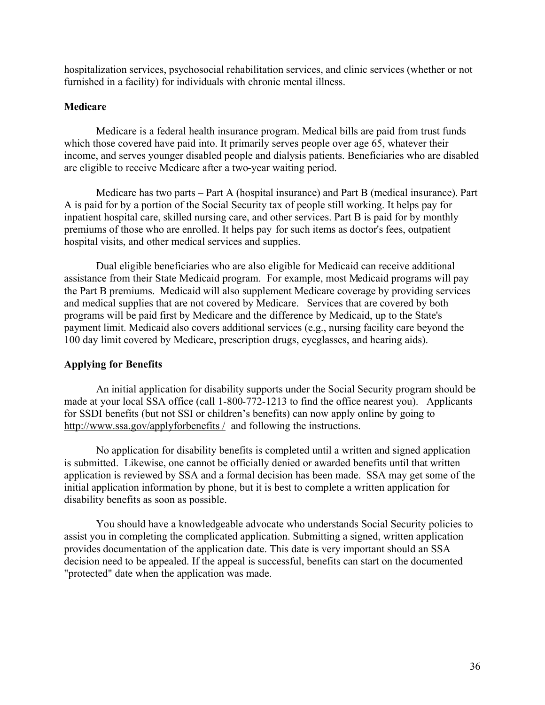hospitalization services, psychosocial rehabilitation services, and clinic services (whether or not furnished in a facility) for individuals with chronic mental illness.

# **Medicare**

Medicare is a federal health insurance program. Medical bills are paid from trust funds which those covered have paid into. It primarily serves people over age 65, whatever their income, and serves younger disabled people and dialysis patients. Beneficiaries who are disabled are eligible to receive Medicare after a two-year waiting period.

Medicare has two parts – Part A (hospital insurance) and Part B (medical insurance). Part A is paid for by a portion of the Social Security tax of people still working. It helps pay for inpatient hospital care, skilled nursing care, and other services. Part B is paid for by monthly premiums of those who are enrolled. It helps pay for such items as doctor's fees, outpatient hospital visits, and other medical services and supplies.

Dual eligible beneficiaries who are also eligible for Medicaid can receive additional assistance from their State Medicaid program. For example, most Medicaid programs will pay the Part B premiums. Medicaid will also supplement Medicare coverage by providing services and medical supplies that are not covered by Medicare. Services that are covered by both programs will be paid first by Medicare and the difference by Medicaid, up to the State's payment limit. Medicaid also covers additional services (e.g., nursing facility care beyond the 100 day limit covered by Medicare, prescription drugs, eyeglasses, and hearing aids).

# **Applying for Benefits**

An initial application for disability supports under the Social Security program should be made at your local SSA office (call 1-800-772-1213 to find the office nearest you). Applicants for SSDI benefits (but not SSI or children's benefits) can now apply online by going to <http://www.ssa.gov/applyforbenefits>/ and following the instructions.

No application for disability benefits is completed until a written and signed application is submitted. Likewise, one cannot be officially denied or awarded benefits until that written application is reviewed by SSA and a formal decision has been made. SSA may get some of the initial application information by phone, but it is best to complete a written application for disability benefits as soon as possible.

You should have a knowledgeable advocate who understands Social Security policies to assist you in completing the complicated application. Submitting a signed, written application provides documentation of the application date. This date is very important should an SSA decision need to be appealed. If the appeal is successful, benefits can start on the documented "protected" date when the application was made.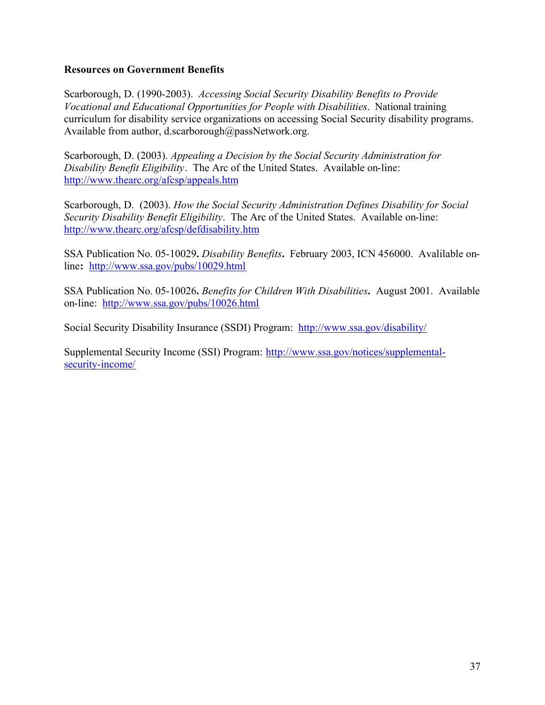# **Resources on Government Benefits**

Scarborough, D. (1990-2003). *Accessing Social Security Disability Benefits to Provide Vocational and Educational Opportunities for People with Disabilities*. National training curriculum for disability service organizations on accessing Social Security disability programs. Available from author, d.scarborough@passNetwork.org.

Scarborough, D. (2003). *Appealing a Decision by the Social Security Administration for Disability Benefit Eligibility*. The Arc of the United States. Available on-line: <http://www.thearc.org/afcsp/appeals.htm>

Scarborough, D. (2003). *How the Social Security Administration Defines Disability for Social Security Disability Benefit Eligibility*. The Arc of the United States. Available on-line: <http://www.thearc.org/afcsp/defdisability.htm>

SSA Publication No. 05-10029**.** *Disability Benefits***.** February 2003, ICN 456000. Avalilable online**:** <http://www.ssa.gov/pubs/10029.html>

SSA Publication No. 05-10026**.** *Benefits for Children With Disabilities***.** August 2001. Available on-line: <http://www.ssa.gov/pubs/10026.html>

Social Security Disability Insurance (SSDI) Program: <http://www.ssa.gov/disability/>

[Supplemental Security Income \(SSI\) Program: http://www.ssa.gov/notices/supplemental](http://www.ssa.gov/notices/supplemental-security-income/)security-income/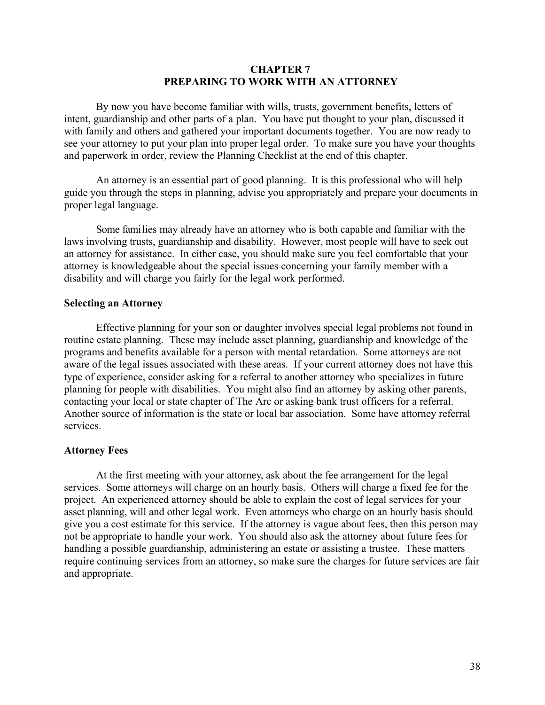#### **CHAPTER 7 PREPARING TO WORK WITH AN ATTORNEY**

By now you have become familiar with wills, trusts, government benefits, letters of intent, guardianship and other parts of a plan. You have put thought to your plan, discussed it with family and others and gathered your important documents together. You are now ready to see your attorney to put your plan into proper legal order. To make sure you have your thoughts and paperwork in order, review the Planning Checklist at the end of this chapter.

An attorney is an essential part of good planning. It is this professional who will help guide you through the steps in planning, advise you appropriately and prepare your documents in proper legal language.

Some families may already have an attorney who is both capable and familiar with the laws involving trusts, guardianship and disability. However, most people will have to seek out an attorney for assistance. In either case, you should make sure you feel comfortable that your attorney is knowledgeable about the special issues concerning your family member with a disability and will charge you fairly for the legal work performed.

#### **Selecting an Attorney**

Effective planning for your son or daughter involves special legal problems not found in routine estate planning. These may include asset planning, guardianship and knowledge of the programs and benefits available for a person with mental retardation. Some attorneys are not aware of the legal issues associated with these areas. If your current attorney does not have this type of experience, consider asking for a referral to another attorney who specializes in future planning for people with disabilities. You might also find an attorney by asking other parents, contacting your local or state chapter of The Arc or asking bank trust officers for a referral. Another source of information is the state or local bar association. Some have attorney referral services.

#### **Attorney Fees**

At the first meeting with your attorney, ask about the fee arrangement for the legal services. Some attorneys will charge on an hourly basis. Others will charge a fixed fee for the project. An experienced attorney should be able to explain the cost of legal services for your asset planning, will and other legal work. Even attorneys who charge on an hourly basis should give you a cost estimate for this service. If the attorney is vague about fees, then this person may not be appropriate to handle your work. You should also ask the attorney about future fees for handling a possible guardianship, administering an estate or assisting a trustee. These matters require continuing services from an attorney, so make sure the charges for future services are fair and appropriate.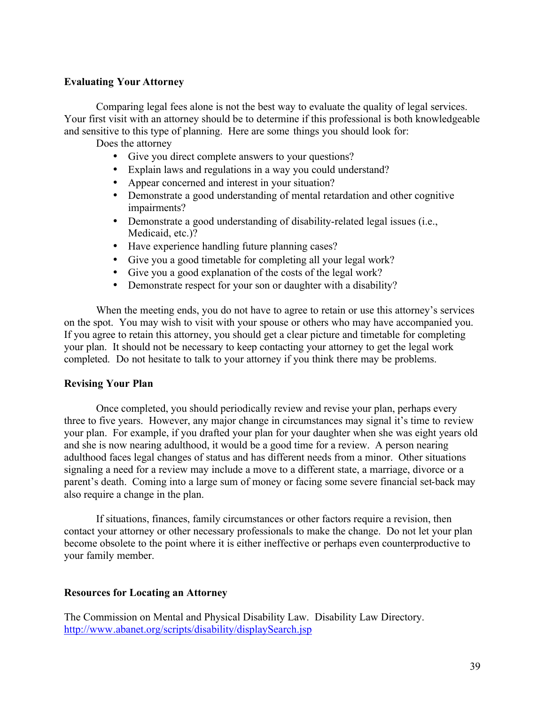# **Evaluating Your Attorney**

Comparing legal fees alone is not the best way to evaluate the quality of legal services. Your first visit with an attorney should be to determine if this professional is both knowledgeable and sensitive to this type of planning. Here are some things you should look for:

Does the attorney

- Give you direct complete answers to your questions?
- Explain laws and regulations in a way you could understand?
- Appear concerned and interest in your situation?
- Demonstrate a good understanding of mental retardation and other cognitive impairments?
- Demonstrate a good understanding of disability-related legal issues (i.e., Medicaid, etc.)?
- Have experience handling future planning cases?
- Give you a good timetable for completing all your legal work?
- Give you a good explanation of the costs of the legal work?
- Demonstrate respect for your son or daughter with a disability?

When the meeting ends, you do not have to agree to retain or use this attorney's services on the spot. You may wish to visit with your spouse or others who may have accompanied you. If you agree to retain this attorney, you should get a clear picture and timetable for completing your plan. It should not be necessary to keep contacting your attorney to get the legal work completed. Do not hesitate to talk to your attorney if you think there may be problems.

# **Revising Your Plan**

Once completed, you should periodically review and revise your plan, perhaps every three to five years. However, any major change in circumstances may signal it's time to review your plan. For example, if you drafted your plan for your daughter when she was eight years old and she is now nearing adulthood, it would be a good time for a review. A person nearing adulthood faces legal changes of status and has different needs from a minor. Other situations signaling a need for a review may include a move to a different state, a marriage, divorce or a parent's death. Coming into a large sum of money or facing some severe financial set-back may also require a change in the plan.

If situations, finances, family circumstances or other factors require a revision, then contact your attorney or other necessary professionals to make the change. Do not let your plan become obsolete to the point where it is either ineffective or perhaps even counterproductive to your family member.

# **Resources for Locating an Attorney**

The Commission on Mental and Physical Disability Law. Disability Law Directory. <http://www.abanet.org/scripts/disability/displaySearch.jsp>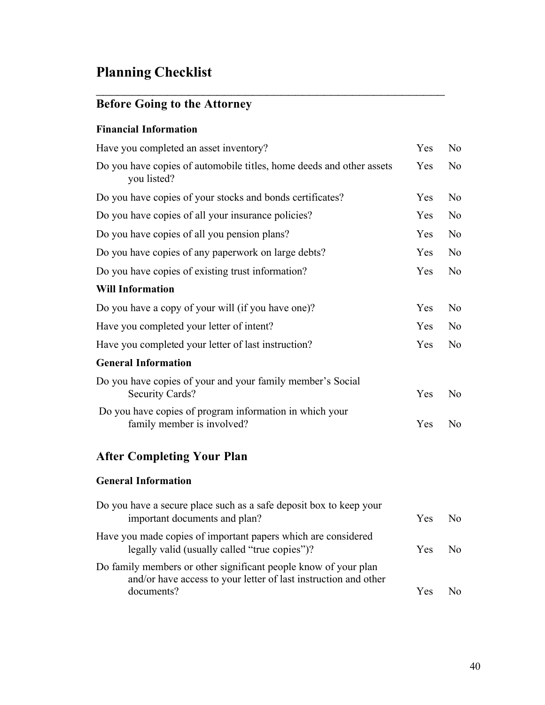# **Planning Checklist**

# **Before Going to the Attorney**

# **Financial Information**

| Have you completed an asset inventory?                                                | Yes | N <sub>o</sub> |
|---------------------------------------------------------------------------------------|-----|----------------|
| Do you have copies of automobile titles, home deeds and other assets<br>you listed?   | Yes | N <sub>o</sub> |
| Do you have copies of your stocks and bonds certificates?                             | Yes | N <sub>o</sub> |
| Do you have copies of all your insurance policies?                                    | Yes | N <sub>0</sub> |
| Do you have copies of all you pension plans?                                          | Yes | N <sub>o</sub> |
| Do you have copies of any paperwork on large debts?                                   | Yes | N <sub>0</sub> |
| Do you have copies of existing trust information?                                     | Yes | N <sub>o</sub> |
| <b>Will Information</b>                                                               |     |                |
| Do you have a copy of your will (if you have one)?                                    | Yes | N <sub>o</sub> |
| Have you completed your letter of intent?                                             | Yes | N <sub>o</sub> |
| Have you completed your letter of last instruction?                                   |     | N <sub>o</sub> |
| <b>General Information</b>                                                            |     |                |
| Do you have copies of your and your family member's Social<br>Security Cards?         | Yes | N <sub>o</sub> |
| Do you have copies of program information in which your<br>family member is involved? | Yes | N <sub>o</sub> |
|                                                                                       |     |                |

 $\mathcal{L}_\text{max}$  , and the contract of the contract of the contract of the contract of the contract of the contract of the contract of the contract of the contract of the contract of the contract of the contract of the contr

# **After Completing Your Plan**

# **General Information**

| Do you have a secure place such as a safe deposit box to keep your<br>important documents and plan?                                              | Yes. | $N_{\Omega}$ |
|--------------------------------------------------------------------------------------------------------------------------------------------------|------|--------------|
| Have you made copies of important papers which are considered<br>legally valid (usually called "true copies")?                                   | Yes. | N٥           |
| Do family members or other significant people know of your plan<br>and/or have access to your letter of last instruction and other<br>documents? | Yes  | N٥.          |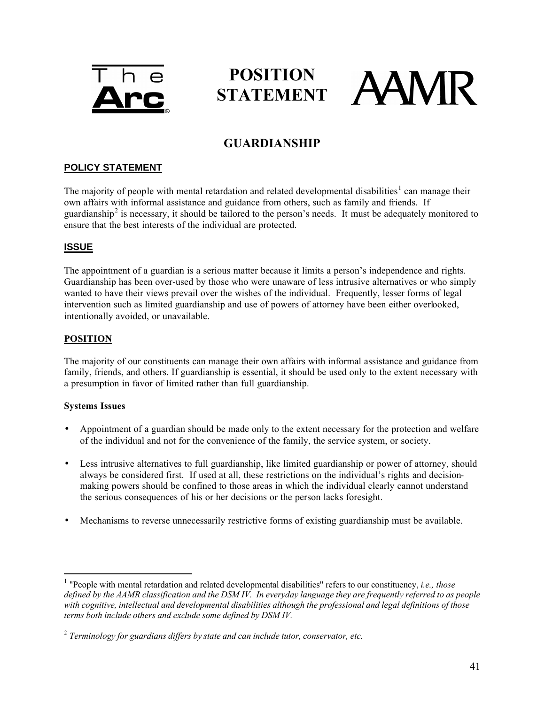

# **POSITION**  STATEMENT **AAMR**

# **GUARDIANSHIP**

# **POLICY STATEMENT**

The majority of people with mental retardation and related developmental disabilities<sup>1</sup> can manage their own affairs with informal assistance and guidance from others, such as family and friends. If guardianship<sup>2</sup> is necessary, it should be tailored to the person's needs. It must be adequately monitored to ensure that the best interests of the individual are protected.

# **ISSUE**

The appointment of a guardian is a serious matter because it limits a person's independence and rights. Guardianship has been over-used by those who were unaware of less intrusive alternatives or who simply wanted to have their views prevail over the wishes of the individual. Frequently, lesser forms of legal intervention such as limited guardianship and use of powers of attorney have been either overlooked, intentionally avoided, or unavailable.

#### **POSITION**

The majority of our constituents can manage their own affairs with informal assistance and guidance from family, friends, and others. If guardianship is essential, it should be used only to the extent necessary with a presumption in favor of limited rather than full guardianship.

#### **Systems Issues**

 $\overline{a}$ 

- Appointment of a guardian should be made only to the extent necessary for the protection and welfare of the individual and not for the convenience of the family, the service system, or society.
- Less intrusive alternatives to full guardianship, like limited guardianship or power of attorney, should always be considered first. If used at all, these restrictions on the individual's rights and decisionmaking powers should be confined to those areas in which the individual clearly cannot understand the serious consequences of his or her decisions or the person lacks foresight.
- Mechanisms to reverse unnecessarily restrictive forms of existing guardianship must be available.

<sup>&</sup>lt;sup>1</sup> "People with mental retardation and related developmental disabilities" refers to our constituency, *i.e., those defined by the AAMR classification and the DSM IV. In everyday language they are frequently referred to as people with cognitive, intellectual and developmental disabilities although the professional and legal definitions of those terms both include others and exclude some defined by DSM IV.*

<sup>2</sup> *Terminology for guardians differs by state and can include tutor, conservator, etc.*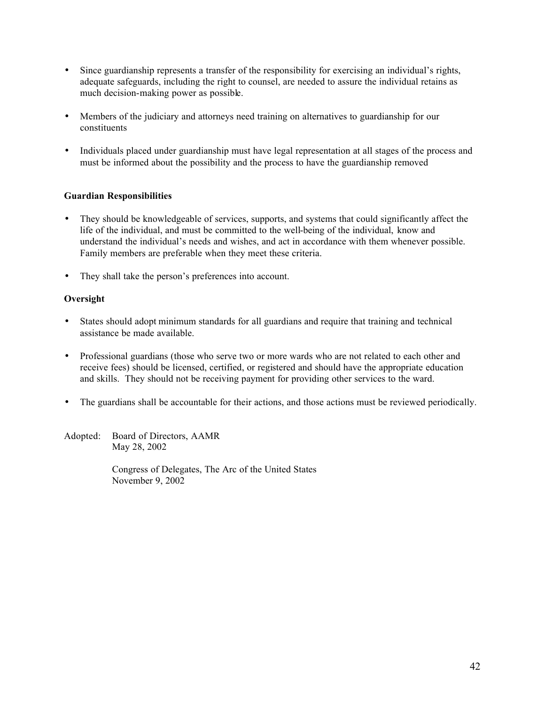- Since guardianship represents a transfer of the responsibility for exercising an individual's rights, adequate safeguards, including the right to counsel, are needed to assure the individual retains as much decision-making power as possible.
- Members of the judiciary and attorneys need training on alternatives to guardianship for our constituents
- Individuals placed under guardianship must have legal representation at all stages of the process and must be informed about the possibility and the process to have the guardianship removed

#### **Guardian Responsibilities**

- They should be knowledgeable of services, supports, and systems that could significantly affect the life of the individual, and must be committed to the well-being of the individual, know and understand the individual's needs and wishes, and act in accordance with them whenever possible. Family members are preferable when they meet these criteria.
- They shall take the person's preferences into account.

#### **Oversight**

- States should adopt minimum standards for all guardians and require that training and technical assistance be made available.
- Professional guardians (those who serve two or more wards who are not related to each other and receive fees) should be licensed, certified, or registered and should have the appropriate education and skills. They should not be receiving payment for providing other services to the ward.
- The guardians shall be accountable for their actions, and those actions must be reviewed periodically.

Adopted: Board of Directors, AAMR May 28, 2002

> Congress of Delegates, The Arc of the United States November 9, 2002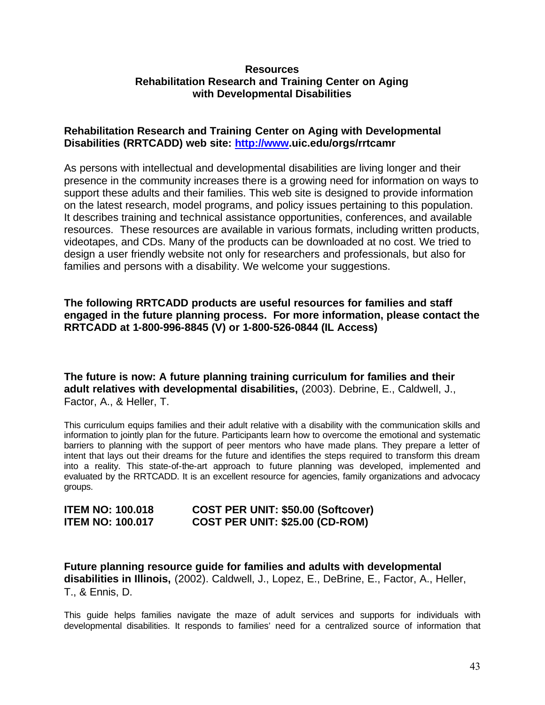# **Resources Rehabilitation Research and Training Center on Aging with Developmental Disabilities**

# **Rehabilitation Research and Training Center on Aging with Developmental Disabilities (RRTCADD) web site: <http://www.uic.edu/orgs/rrtcamr>**

As persons with intellectual and developmental disabilities are living longer and their presence in the community increases there is a growing need for information on ways to support these adults and their families. This web site is designed to provide information on the latest research, model programs, and policy issues pertaining to this population. It describes training and technical assistance opportunities, conferences, and available resources. These resources are available in various formats, including written products, videotapes, and CDs. Many of the products can be downloaded at no cost. We tried to design a user friendly website not only for researchers and professionals, but also for families and persons with a disability. We welcome your suggestions.

# **The following RRTCADD products are useful resources for families and staff engaged in the future planning process. For more information, please contact the RRTCADD at 1-800-996-8845 (V) or 1-800-526-0844 (IL Access)**

**The future is now: A future planning training curriculum for families and their adult relatives with developmental disabilities,** (2003). Debrine, E., Caldwell, J., Factor, A., & Heller, T.

This curriculum equips families and their adult relative with a disability with the communication skills and information to jointly plan for the future. Participants learn how to overcome the emotional and systematic barriers to planning with the support of peer mentors who have made plans. They prepare a letter of intent that lays out their dreams for the future and identifies the steps required to transform this dream into a reality. This state-of-the-art approach to future planning was developed, implemented and evaluated by the RRTCADD. It is an excellent resource for agencies, family organizations and advocacy groups.

| <b>ITEM NO: 100.018</b> | COST PER UNIT: \$50.00 (Softcover)     |  |
|-------------------------|----------------------------------------|--|
| <b>ITEM NO: 100.017</b> | <b>COST PER UNIT: \$25.00 (CD-ROM)</b> |  |

**Future planning resource guide for families and adults with developmental disabilities in Illinois,** (2002). Caldwell, J., Lopez, E., DeBrine, E., Factor, A., Heller, T., & Ennis, D.

This guide helps families navigate the maze of adult services and supports for individuals with developmental disabilities. It responds to families' need for a centralized source of information that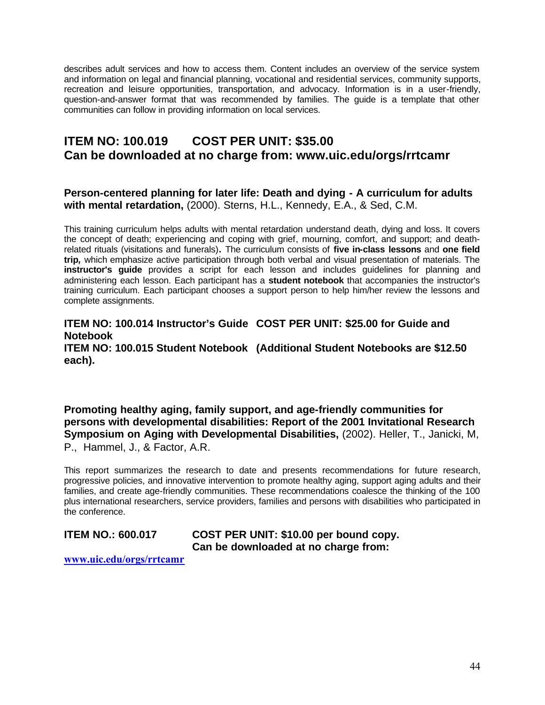describes adult services and how to access them. Content includes an overview of the service system and information on legal and financial planning, vocational and residential services, community supports, recreation and leisure opportunities, transportation, and advocacy. Information is in a user-friendly, question-and-answer format that was recommended by families. The guide is a template that other communities can follow in providing information on local services.

# **ITEM NO: 100.019 COST PER UNIT: \$35.00 Can be downloaded at no charge from: www.uic.edu/orgs/rrtcamr**

# **Person-centered planning for later life: Death and dying - A curriculum for adults with mental retardation,** (2000). Sterns, H.L., Kennedy, E.A., & Sed, C.M.

This training curriculum helps adults with mental retardation understand death, dying and loss. It covers the concept of death; experiencing and coping with grief, mourning, comfort, and support; and deathrelated rituals (visitations and funerals)**.** The curriculum consists of **five in-class lessons** and **one field trip***,* which emphasize active participation through both verbal and visual presentation of materials. The **instructor's guide** provides a script for each lesson and includes guidelines for planning and administering each lesson. Each participant has a **student notebook** that accompanies the instructor's training curriculum. Each participant chooses a support person to help him/her review the lessons and complete assignments.

**ITEM NO: 100.014 Instructor's Guide COST PER UNIT: \$25.00 for Guide and Notebook ITEM NO: 100.015 Student Notebook (Additional Student Notebooks are \$12.50 each).**

**Promoting healthy aging, family support, and age-friendly communities for persons with developmental disabilities: Report of the 2001 Invitational Research Symposium on Aging with Developmental Disabilities,** (2002). Heller, T., Janicki, M, P., Hammel, J., & Factor, A.R.

This report summarizes the research to date and presents recommendations for future research, progressive policies, and innovative intervention to promote healthy aging, support aging adults and their families, and create age-friendly communities. These recommendations coalesce the thinking of the 100 plus international researchers, service providers, families and persons with disabilities who participated in the conference.

**ITEM NO.: 600.017 COST PER UNIT: \$10.00 per bound copy. Can be downloaded at no charge from:**

**www.uic.edu/orgs/rrtcamr**